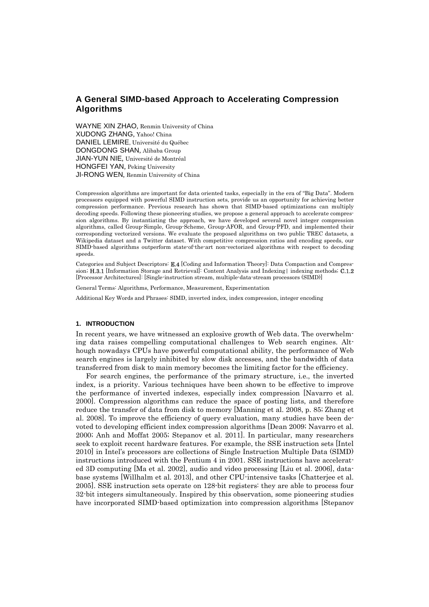WAYNE XIN ZHAO, Renmin University of China XUDONG ZHANG, Yahoo! China DANIEL LEMIRE, Université du Québec DONGDONG SHAN, Alibaba Group JIAN-YUN NIE, Université de Montréal HONGFEI YAN, Peking University JI-RONG WEN, Renmin University of China

Compression algorithms are important for data oriented tasks, especially in the era of "Big Data". Modern processors equipped with powerful SIMD instruction sets, provide us an opportunity for achieving better compression performance. Previous research has shown that SIMD-based optimizations can multiply decoding speeds. Following these pioneering studies, we propose a general approach to accelerate compression algorithms. By instantiating the approach, we have developed several novel integer compression algorithms, called Group-Simple, Group-Scheme, Group-AFOR, and Group-PFD, and implemented their corresponding vectorized versions. We evaluate the proposed algorithms on two public TREC datasets, a Wikipedia dataset and a Twitter dataset. With competitive compression ratios and encoding speeds, our SIMD-based algorithms outperform state-of-the-art non-vectorized algorithms with respect to decoding speeds.

Categories and Subject Descriptors: E.4 [Coding and Information Theory]: Data Compaction and Compression; H.3.1 [Information Storage and Retrieval]: Content Analysis and Indexing | indexing methods; C.1.2 [Processor Architectures]: [Single-instruction stream, multiple-data-stream processors (SIMD)]

General Terms: Algorithms, Performance, Measurement, Experimentation

Additional Key Words and Phrases: SIMD, inverted index, index compression, integer encoding

#### **1. INTRODUCTION**

In recent years, we have witnessed an explosive growth of Web data. The overwhelming data raises compelling computational challenges to Web search engines. Although nowadays CPUs have powerful computational ability, the performance of Web search engines is largely inhibited by slow disk accesses, and the bandwidth of data transferred from disk to main memory becomes the limiting factor for the efficiency.

For search engines, the performance of the primary structure, i.e., the inverted index, is a priority. Various techniques have been shown to be effective to improve the performance of inverted indexes, especially index compression [Navarro et al. 2000]. Compression algorithms can reduce the space of posting lists, and therefore reduce the transfer of data from disk to memory [Manning et al. 2008, p. 85; Zhang et al. 2008]. To improve the efficiency of query evaluation, many studies have been devoted to developing efficient index compression algorithms [Dean 2009; Navarro et al. 2000; Anh and Moffat 2005; Stepanov et al. 2011]. In particular, many researchers seek to exploit recent hardware features. For example, the SSE instruction sets [Intel 2010] in Intel's processors are collections of Single Instruction Multiple Data (SIMD) instructions introduced with the Pentium 4 in 2001. SSE instructions have accelerated 3D computing [Ma et al. 2002], audio and video processing [Liu et al. 2006], database systems [Willhalm et al. 2013], and other CPU-intensive tasks [Chatterjee et al. 2005]. SSE instruction sets operate on 128-bit registers: they are able to process four 32-bit integers simultaneously. Inspired by this observation, some pioneering studies have incorporated SIMD-based optimization into compression algorithms [Stepanov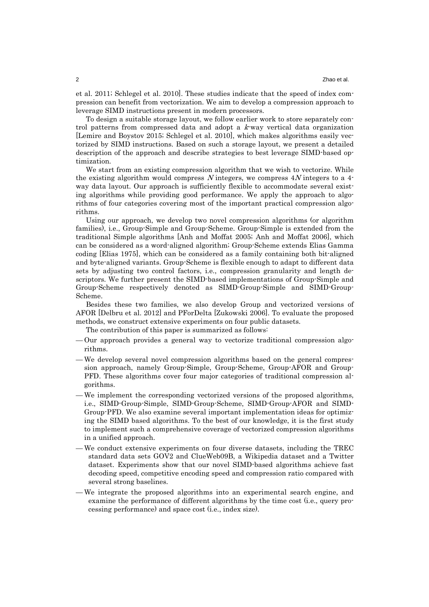et al. 2011; Schlegel et al. 2010]. These studies indicate that the speed of index compression can benefit from vectorization. We aim to develop a compression approach to leverage SIMD instructions present in modern processors.

To design a suitable storage layout, we follow earlier work to store separately control patterns from compressed data and adopt a  $k$ -way vertical data organization [Lemire and Boystov 2015; Schlegel et al. 2010], which makes algorithms easily vectorized by SIMD instructions. Based on such a storage layout, we present a detailed description of the approach and describe strategies to best leverage SIMD-based optimization.

We start from an existing compression algorithm that we wish to vectorize. While the existing algorithm would compress N integers, we compress  $4N$  integers to a 4way data layout. Our approach is sufficiently flexible to accommodate several existing algorithms while providing good performance. We apply the approach to algorithms of four categories covering most of the important practical compression algorithms.

Using our approach, we develop two novel compression algorithms (or algorithm families), i.e., Group-Simple and Group-Scheme. Group-Simple is extended from the traditional Simple algorithms [Anh and Moffat 2005; Anh and Moffat 2006], which can be considered as a word-aligned algorithm; Group-Scheme extends Elias Gamma coding [Elias 1975], which can be considered as a family containing both bit-aligned and byte-aligned variants. Group-Scheme is flexible enough to adapt to different data sets by adjusting two control factors, i.e., compression granularity and length descriptors. We further present the SIMD-based implementations of Group-Simple and Group-Scheme respectively denoted as SIMD-Group-Simple and SIMD-Group-Scheme.

Besides these two families, we also develop Group and vectorized versions of AFOR [Delbru et al. 2012] and PForDelta [Zukowski 2006]. To evaluate the proposed methods, we construct extensive experiments on four public datasets.

The contribution of this paper is summarized as follows:

- Our approach provides a general way to vectorize traditional compression algorithms.
- We develop several novel compression algorithms based on the general compression approach, namely Group-Simple, Group-Scheme, Group-AFOR and Group-PFD. These algorithms cover four major categories of traditional compression algorithms.
- We implement the corresponding vectorized versions of the proposed algorithms, i.e., SIMD-Group-Simple, SIMD-Group-Scheme, SIMD-Group-AFOR and SIMD-Group-PFD. We also examine several important implementation ideas for optimizing the SIMD based algorithms. To the best of our knowledge, it is the first study to implement such a comprehensive coverage of vectorized compression algorithms in a unified approach.
- We conduct extensive experiments on four diverse datasets, including the TREC standard data sets GOV2 and ClueWeb09B, a Wikipedia dataset and a Twitter dataset. Experiments show that our novel SIMD-based algorithms achieve fast decoding speed, competitive encoding speed and compression ratio compared with several strong baselines.
- We integrate the proposed algorithms into an experimental search engine, and examine the performance of different algorithms by the time cost (i.e., query processing performance) and space cost (i.e., index size).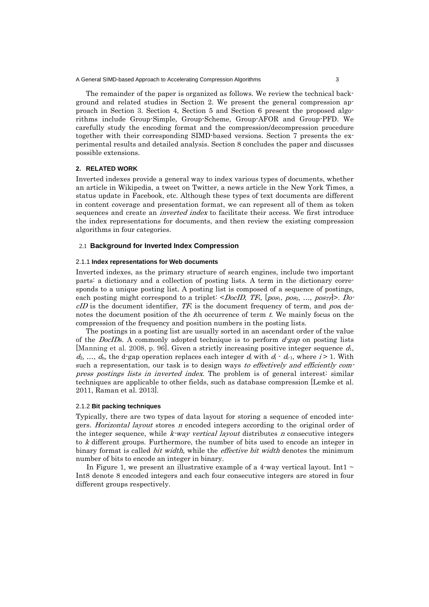The remainder of the paper is organized as follows. We review the technical background and related studies in Section 2. We present the general compression approach in Section 3. Section 4, Section 5 and Section 6 present the proposed algorithms include Group-Simple, Group-Scheme, Group-AFOR and Group-PFD. We carefully study the encoding format and the compression/decompression procedure together with their corresponding SIMD-based versions. Section 7 presents the experimental results and detailed analysis. Section 8 concludes the paper and discusses possible extensions.

#### **2. RELATED WORK**

Inverted indexes provide a general way to index various types of documents, whether an article in Wikipedia, a tweet on Twitter, a news article in the New York Times, a status update in Facebook, etc. Although these types of text documents are different in content coverage and presentation format, we can represent all of them as token sequences and create an *inverted index* to facilitate their access. We first introduce the index representations for documents, and then review the existing compression algorithms in four categories.

### 2.1 **Background for Inverted Index Compression**

#### 2.1.1 **Index representations for Web documents**

Inverted indexes, as the primary structure of search engines, include two important parts: a dictionary and a collection of posting lists. A term in the dictionary corresponds to a unique posting list. A posting list is composed of a sequence of postings, each posting might correspond to a triplet:  $\leq$ DocID, TF<sub>t</sub>, [pos<sub>1</sub>, pos<sub>2</sub>, ..., pos<sub>TF</sub>]>. Do $cID$  is the document identifier, TF<sub>t</sub> is the document frequency of term, and pos<sub>i</sub> denotes the document position of the *h occurrence of term*  $*t*$ *. We mainly focus on the* compression of the frequency and position numbers in the posting lists.

The postings in a posting list are usually sorted in an ascendant order of the value of the *DocIDs*. A commonly adopted technique is to perform  $d-gap$  on posting lists [Manning et al. 2008, p. 96]. Given a strictly increasing positive integer sequence  $d_1$ ,  $d_2, ..., d_n$ , the d-gap operation replaces each integer  $d_i$  with  $d_i \cdot d_{i-1}$ , where  $i > 1$ . With such a representation, our task is to design ways to effectively and efficiently compress postings lists in inverted index. The problem is of general interest: similar techniques are applicable to other fields, such as database compression [Lemke et al. 2011, Raman et al. 2013].

#### 2.1.2 **Bit packing techniques**

Typically, there are two types of data layout for storing a sequence of encoded integers. Horizontal layout stores n encoded integers according to the original order of the integer sequence, while  $k$ -way vertical layout distributes  $n$  consecutive integers to k different groups. Furthermore, the number of bits used to encode an integer in binary format is called *bit width*, while the *effective bit width* denotes the minimum number of bits to encode an integer in binary.

In Figure 1, we present an illustrative example of a 4-way vertical layout. Int1  $\sim$ Int8 denote 8 encoded integers and each four consecutive integers are stored in four different groups respectively.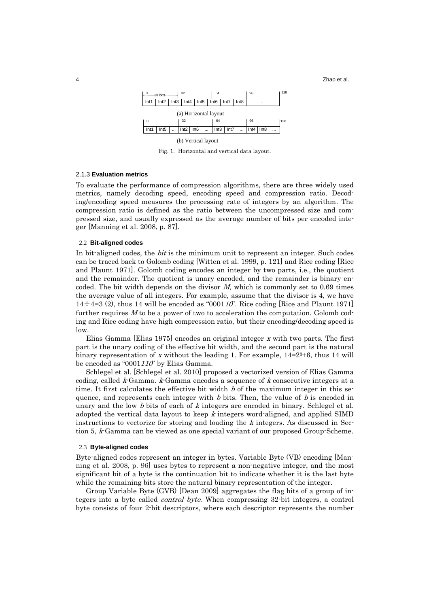4 Zhao et al.



Fig. 1. Horizontal and vertical data layout.

# 2.1.3 **Evaluation metrics**

To evaluate the performance of compression algorithms, there are three widely used metrics, namely decoding speed, encoding speed and compression ratio. Decoding/encoding speed measures the processing rate of integers by an algorithm. The compression ratio is defined as the ratio between the uncompressed size and compressed size, and usually expressed as the average number of bits per encoded integer [Manning et al. 2008, p. 87].

### 2.2 **Bit-aligned codes**

In bit-aligned codes, the *bit* is the minimum unit to represent an integer. Such codes can be traced back to Golomb coding [Witten et al. 1999, p. 121] and Rice coding [Rice and Plaunt 1971]. Golomb coding encodes an integer by two parts, i.e., the quotient and the remainder. The quotient is unary encoded, and the remainder is binary encoded. The bit width depends on the divisor  $M$ , which is commonly set to 0.69 times the average value of all integers. For example, assume that the divisor is 4, we have  $14 \div 4=3$  (2), thus 14 will be encoded as "000110". Rice coding [Rice and Plaunt 1971] further requires  $M$  to be a power of two to acceleration the computation. Golomb coding and Rice coding have high compression ratio, but their encoding/decoding speed is low.

Elias Gamma [Elias 1975] encodes an original integer x with two parts. The first part is the unary coding of the effective bit width, and the second part is the natural binary representation of x without the leading 1. For example,  $14=2^{3}+6$ , thus 14 will be encoded as "0001110" by Elias Gamma.

Schlegel et al. [Schlegel et al. 2010] proposed a vectorized version of Elias Gamma coding, called  $k$ -Gamma.  $k$ -Gamma encodes a sequence of  $k$  consecutive integers at a time. It first calculates the effective bit width  $b$  of the maximum integer in this sequence, and represents each integer with  $b$  bits. Then, the value of  $b$  is encoded in unary and the low  $b$  bits of each of  $k$  integers are encoded in binary. Schlegel et al. adopted the vertical data layout to keep  $k$  integers word-aligned, and applied SIMD instructions to vectorize for storing and loading the  $k$  integers. As discussed in Section 5, k-Gamma can be viewed as one special variant of our proposed Group-Scheme.

### 2.3 **Byte-aligned codes**

Byte-aligned codes represent an integer in bytes. Variable Byte (VB) encoding [Manning et al. 2008, p. 96] uses bytes to represent a non-negative integer, and the most significant bit of a byte is the continuation bit to indicate whether it is the last byte while the remaining bits store the natural binary representation of the integer.

Group Variable Byte (GVB) [Dean 2009] aggregates the flag bits of a group of integers into a byte called control byte. When compressing 32-bit integers, a control byte consists of four 2-bit descriptors, where each descriptor represents the number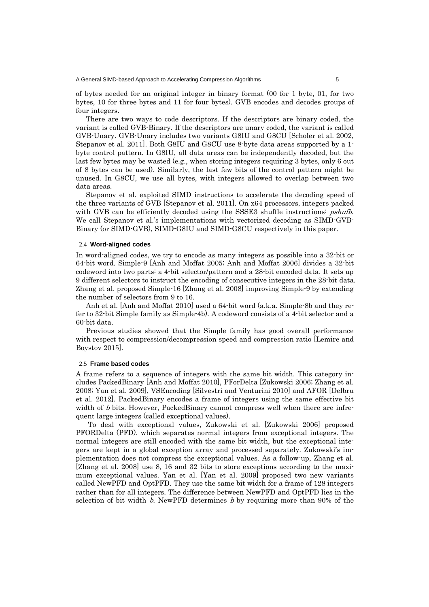of bytes needed for an original integer in binary format (00 for 1 byte, 01, for two bytes, 10 for three bytes and 11 for four bytes). GVB encodes and decodes groups of four integers.

There are two ways to code descriptors. If the descriptors are binary coded, the variant is called GVB-Binary. If the descriptors are unary coded, the variant is called GVB-Unary. GVB-Unary includes two variants G8IU and G8CU [Scholer et al. 2002, Stepanov et al. 2011]. Both G8IU and G8CU use 8-byte data areas supported by a 1 byte control pattern. In G8IU, all data areas can be independently decoded, but the last few bytes may be wasted (e.g., when storing integers requiring 3 bytes, only 6 out of 8 bytes can be used). Similarly, the last few bits of the control pattern might be unused. In G8CU, we use all bytes, with integers allowed to overlap between two data areas.

Stepanov et al. exploited SIMD instructions to accelerate the decoding speed of the three variants of GVB [Stepanov et al. 2011]. On x64 processors, integers packed with GVB can be efficiently decoded using the SSSE3 shuffle instructions: *pshufb*. We call Stepanov et al.'s implementations with vectorized decoding as SIMD-GVB-Binary (or SIMD-GVB), SIMD-G8IU and SIMD-G8CU respectively in this paper.

### 2.4 **Word-aligned codes**

In word-aligned codes, we try to encode as many integers as possible into a 32-bit or 64-bit word. Simple-9 [Anh and Moffat 2005; Anh and Moffat 2006] divides a 32-bit codeword into two parts: a 4-bit selector/pattern and a 28-bit encoded data. It sets up 9 different selectors to instruct the encoding of consecutive integers in the 28-bit data. Zhang et al. proposed Simple-16 [Zhang et al. 2008] improving Simple-9 by extending the number of selectors from 9 to 16.

Anh et al. [Anh and Moffat 2010] used a 64-bit word (a.k.a. Simple-8b and they refer to 32-bit Simple family as Simple-4b). A codeword consists of a 4-bit selector and a 60-bit data.

Previous studies showed that the Simple family has good overall performance with respect to compression/decompression speed and compression ratio [Lemire and Boystov 2015].

#### 2.5 **Frame based codes**

A frame refers to a sequence of integers with the same bit width. This category includes PackedBinary [Anh and Moffat 2010], PForDelta [Zukowski 2006; Zhang et al. 2008; Yan et al. 2009], VSEncoding [Silvestri and Venturini 2010] and AFOR [Delbru et al. 2012]. PackedBinary encodes a frame of integers using the same effective bit width of *b* bits. However, PackedBinary cannot compress well when there are infrequent large integers (called exceptional values).

 To deal with exceptional values, Zukowski et al. [Zukowski 2006] proposed PFORDelta (PFD), which separates normal integers from exceptional integers. The normal integers are still encoded with the same bit width, but the exceptional integers are kept in a global exception array and processed separately. Zukowski's implementation does not compress the exceptional values. As a follow-up, Zhang et al. [Zhang et al. 2008] use 8, 16 and 32 bits to store exceptions according to the maximum exceptional values. Yan et al. [Yan et al. 2009] proposed two new variants called NewPFD and OptPFD. They use the same bit width for a frame of 128 integers rather than for all integers. The difference between NewPFD and OptPFD lies in the selection of bit width  $b$ . NewPFD determines  $b$  by requiring more than 90% of the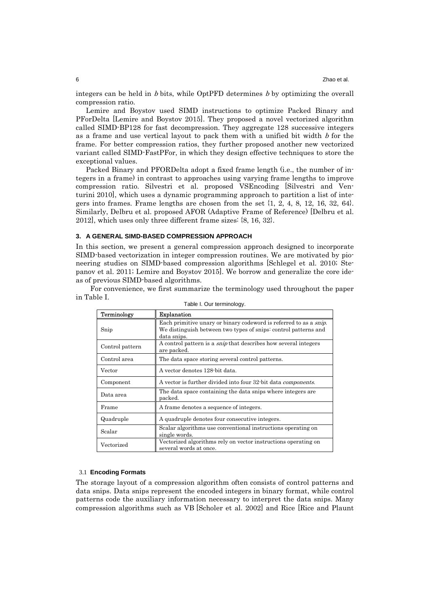integers can be held in  $b$  bits, while OptPFD determines  $b$  by optimizing the overall compression ratio.

Lemire and Boystov used SIMD instructions to optimize Packed Binary and PForDelta [Lemire and Boystov 2015]. They proposed a novel vectorized algorithm called SIMD-BP128 for fast decompression. They aggregate 128 successive integers as a frame and use vertical layout to pack them with a unified bit width  $b$  for the frame. For better compression ratios, they further proposed another new vectorized variant called SIMD-FastPFor, in which they design effective techniques to store the exceptional values.

Packed Binary and PFORDelta adopt a fixed frame length (i.e., the number of integers in a frame) in contrast to approaches using varying frame lengths to improve compression ratio. Silvestri et al. proposed VSEncoding [Silvestri and Venturini 2010], which uses a dynamic programming approach to partition a list of integers into frames. Frame lengths are chosen from the set  $\{1, 2, 4, 8, 12, 16, 32, 64\}$ . Similarly, Delbru et al. proposed AFOR (Adaptive Frame of Reference) [Delbru et al. 2012], which uses only three different frame sizes: {8, 16, 32}.

### **3. A GENERAL SIMD-BASED COMPRESSION APPROACH**

In this section, we present a general compression approach designed to incorporate SIMD-based vectorization in integer compression routines. We are motivated by pioneering studies on SIMD-based compression algorithms [Schlegel et al. 2010; Stepanov et al. 2011; Lemire and Boystov 2015]. We borrow and generalize the core ideas of previous SIMD-based algorithms.

For convenience, we first summarize the terminology used throughout the paper in Table I.

| abio i: oai torrillioiogy. |                                                                                                                                                             |  |  |  |  |
|----------------------------|-------------------------------------------------------------------------------------------------------------------------------------------------------------|--|--|--|--|
| Terminology                | <b>Explanation</b>                                                                                                                                          |  |  |  |  |
| Snip                       | Each primitive unary or binary codeword is referred to as a <i>snip</i> .<br>We distinguish between two types of snips: control patterns and<br>data snips. |  |  |  |  |
| Control pattern            | A control pattern is a <i>snip</i> that describes how several integers<br>are packed.                                                                       |  |  |  |  |
| Control area               | The data space storing several control patterns.                                                                                                            |  |  |  |  |
| Vector                     | A vector denotes 128-bit data.                                                                                                                              |  |  |  |  |
| Component                  | A vector is further divided into four 32-bit data <i>components</i> .                                                                                       |  |  |  |  |
| Data area                  | The data space containing the data snips where integers are<br>packed.                                                                                      |  |  |  |  |
| Frame                      | A frame denotes a sequence of integers.                                                                                                                     |  |  |  |  |
| Quadruple                  | A quadruple denotes four consecutive integers.                                                                                                              |  |  |  |  |
| Scalar                     | Scalar algorithms use conventional instructions operating on<br>single words.                                                                               |  |  |  |  |
| Vectorized                 | Vectorized algorithms rely on vector instructions operating on<br>several words at once.                                                                    |  |  |  |  |

Table I. Our terminology.

#### 3.1 **Encoding Formats**

The storage layout of a compression algorithm often consists of control patterns and data snips. Data snips represent the encoded integers in binary format, while control patterns code the auxiliary information necessary to interpret the data snips. Many compression algorithms such as VB [Scholer et al. 2002] and Rice [Rice and Plaunt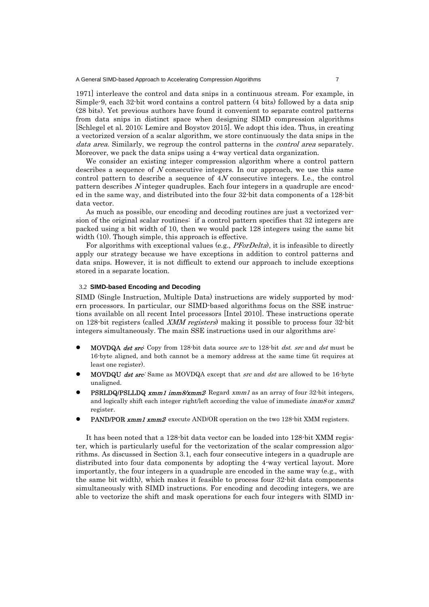1971] interleave the control and data snips in a continuous stream. For example, in Simple-9, each 32-bit word contains a control pattern (4 bits) followed by a data snip (28 bits). Yet previous authors have found it convenient to separate control patterns from data snips in distinct space when designing SIMD compression algorithms [Schlegel et al. 2010; Lemire and Boystov 2015]. We adopt this idea. Thus, in creating a vectorized version of a scalar algorithm, we store continuously the data snips in the data area. Similarly, we regroup the control patterns in the *control area* separately. Moreover, we pack the data snips using a 4-way vertical data organization.

We consider an existing integer compression algorithm where a control pattern describes a sequence of N consecutive integers. In our approach, we use this same control pattern to describe a sequence of 4N consecutive integers. I.e., the control pattern describes  $N$  integer quadruples. Each four integers in a quadruple are encoded in the same way, and distributed into the four 32-bit data components of a 128-bit data vector.

As much as possible, our encoding and decoding routines are just a vectorized version of the original scalar routines: if a control pattern specifies that 32 integers are packed using a bit width of 10, then we would pack 128 integers using the same bit width (10). Though simple, this approach is effective.

For algorithms with exceptional values (e.g., *PForDelta*), it is infeasible to directly apply our strategy because we have exceptions in addition to control patterns and data snips. However, it is not difficult to extend our approach to include exceptions stored in a separate location.

# 3.2 **SIMD-based Encoding and Decoding**

SIMD (Single Instruction, Multiple Data) instructions are widely supported by modern processors. In particular, our SIMD-based algorithms focus on the SSE instructions available on all recent Intel processors [Intel 2010]. These instructions operate on 128-bit registers (called XMM registers) making it possible to process four 32-bit integers simultaneously. The main SSE instructions used in our algorithms are:

- MOVDQA dst src<sup>c</sup> Copy from 128-bit data source src to 128-bit dst. src and dst must be 16-byte aligned, and both cannot be a memory address at the same time (it requires at least one register).
- MOVDQU *dst src*: Same as MOVDQA except that *src* and *dst* are allowed to be 16-byte unaligned.
- **PSRLDQ/PSLLDQ xmm1 imm8/xmm2** Regard xmm1 as an array of four 32-bit integers, and logically shift each integer right/left according the value of immediate  $\imath m m \mathcal{S}$  or  $\imath \imath m \mathcal{S}$ register.
- PAND/POR xmm1 xmm2 execute AND/OR operation on the two 128-bit XMM registers.

It has been noted that a 128-bit data vector can be loaded into 128-bit XMM register, which is particularly useful for the vectorization of the scalar compression algorithms. As discussed in Section 3.1, each four consecutive integers in a quadruple are distributed into four data components by adopting the 4-way vertical layout. More importantly, the four integers in a quadruple are encoded in the same way (e.g., with the same bit width), which makes it feasible to process four 32-bit data components simultaneously with SIMD instructions. For encoding and decoding integers, we are able to vectorize the shift and mask operations for each four integers with SIMD in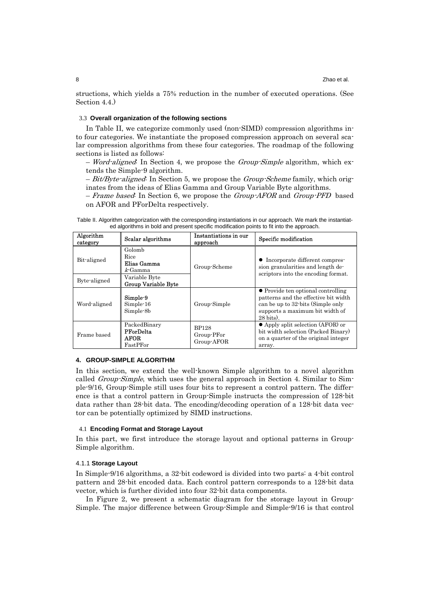structions, which yields a 75% reduction in the number of executed operations. (See Section 4.4.)

### 3.3 **Overall organization of the following sections**

In Table II, we categorize commonly used (non-SIMD) compression algorithms into four categories. We instantiate the proposed compression approach on several scalar compression algorithms from these four categories. The roadmap of the following sections is listed as follows:

 $-$  *Word-aligned*: In Section 4, we propose the *Group-Simple* algorithm, which extends the Simple-9 algorithm.

 $-Bit/Byte-aligned$ . In Section 5, we propose the *Group-Scheme* family, which originates from the ideas of Elias Gamma and Group Variable Byte algorithms.

– Frame based: In Section 6, we propose the Group-AFOR and Group-PFD based on AFOR and PForDelta respectively.

Table II. Algorithm categorization with the corresponding instantiations in our approach. We mark the instantiated algorithms in bold and present specific modification points to fit into the approach.

| Algorithm<br>category       | Scalar algorithms                                                                   | Instantiations in our<br>approach        | Specific modification                                                                                                                                                     |
|-----------------------------|-------------------------------------------------------------------------------------|------------------------------------------|---------------------------------------------------------------------------------------------------------------------------------------------------------------------------|
| Bit-aligned<br>Byte-aligned | Golomb<br>Rice<br>Elias Gamma<br>$k$ -Gamma<br>Variable Byte<br>Group Variable Byte | Group-Scheme                             | • Incorporate different compres-<br>sion granularities and length de-<br>scriptors into the encoding format.                                                              |
| Word-aligned                | Simple-9<br>Simple-16<br>Simple-8b                                                  | Group-Simple                             | • Provide ten optional controlling<br>patterns and the effective bit width<br>can be up to 32-bits (Simple only<br>supports a maximum bit width of<br>$28 \text{ bits}$ . |
| Frame based                 | PackedBinary<br><b>PForDelta</b><br><b>AFOR</b><br>FastPFor                         | <b>BP128</b><br>Group-PFor<br>Group-AFOR | $\bullet$ Apply split selection (AFOR) or<br>bit width selection (Packed Binary)<br>on a quarter of the original integer<br>array.                                        |

#### **4. GROUP-SIMPLE ALGORITHM**

In this section, we extend the well-known Simple algorithm to a novel algorithm called *Group-Simple*, which uses the general approach in Section 4. Similar to Simple-9/16, Group-Simple still uses four bits to represent a control pattern. The difference is that a control pattern in Group-Simple instructs the compression of 128-bit data rather than 28-bit data. The encoding/decoding operation of a 128-bit data vector can be potentially optimized by SIMD instructions.

### 4.1 **Encoding Format and Storage Layout**

In this part, we first introduce the storage layout and optional patterns in Group-Simple algorithm.

### 4.1.1 **Storage Layout**

In Simple-9/16 algorithms, a 32-bit codeword is divided into two parts: a 4-bit control pattern and 28-bit encoded data. Each control pattern corresponds to a 128-bit data vector, which is further divided into four 32-bit data components.

In Figure 2, we present a schematic diagram for the storage layout in Group-Simple. The major difference between Group-Simple and Simple-9/16 is that control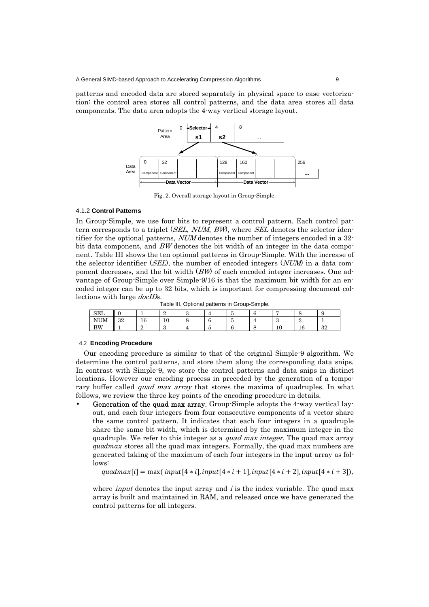patterns and encoded data are stored separately in physical space to ease vectorization: the control area stores all control patterns, and the data area stores all data components. The data area adopts the 4-way vertical storage layout.



Fig. 2. Overall storage layout in Group-Simple.

# 4.1.2 **Control Patterns**

In Group-Simple, we use four bits to represent a control pattern. Each control pattern corresponds to a triplet (SEL, NUM, BW), where SEL denotes the selector identifier for the optional patterns, NUM denotes the number of integers encoded in a 32 bit data component, and  $BW$  denotes the bit width of an integer in the data component. Table III shows the ten optional patterns in Group-Simple. With the increase of the selector identifier (SEL), the number of encoded integers  $(NUM)$  in a data component decreases, and the bit width (BW) of each encoded integer increases. One advantage of Group-Simple over Simple-9/16 is that the maximum bit width for an encoded integer can be up to 32 bits, which is important for compressing document collections with large docIDs.

Table III. Optional patterns in Group-Simple.

| <b>SEL</b> |          |                       |                  |   | u      |                       |    |           |
|------------|----------|-----------------------|------------------|---|--------|-----------------------|----|-----------|
| N<br>UM    | າດ<br>υZ | $\overline{10}$<br>16 | $\sqrt{2}$<br>ΠU | ີ | -<br>u | ω                     | ×  |           |
| BW         |          |                       | -c<br>٠U         |   |        | $\overline{10}$<br>ΨU | 10 | ໑໑<br>υZι |

### 4.2 **Encoding Procedure**

Our encoding procedure is similar to that of the original Simple-9 algorithm. We determine the control patterns, and store them along the corresponding data snips. In contrast with Simple-9, we store the control patterns and data snips in distinct locations. However our encoding process in preceded by the generation of a temporary buffer called *quad max array* that stores the maxima of quadruples. In what follows, we review the three key points of the encoding procedure in details.

Generation of the quad max array. Group-Simple adopts the 4-way vertical layout, and each four integers from four consecutive components of a vector share the same control pattern. It indicates that each four integers in a quadruple share the same bit width, which is determined by the maximum integer in the quadruple. We refer to this integer as a *quad max integer*. The quad max array quadmax stores all the quad max integers. Formally, the quad max numbers are generated taking of the maximum of each four integers in the input array as follows:

 $quadax[i] = \max( input[4*i], input[4*i + 1], input[4*i + 2], input[4*i + 3]),$ 

where *input* denotes the input array and  $i$  is the index variable. The quad max array is built and maintained in RAM, and released once we have generated the control patterns for all integers.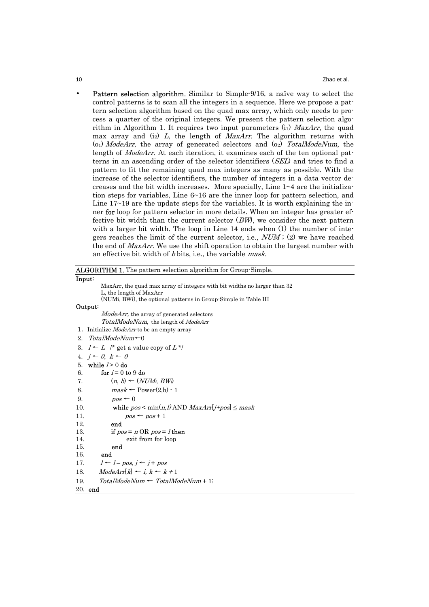• Pattern selection algorithm. Similar to Simple-9/16, a naïve way to select the control patterns is to scan all the integers in a sequence. Here we propose a pattern selection algorithm based on the quad max array, which only needs to process a quarter of the original integers. We present the pattern selection algorithm in Algorithm 1. It requires two input parameters  $(i_1)$  MaxArr, the quad max array and  $(i_2)$  L, the length of MaxArr. The algorithm returns with  $(0)$  *ModeArr*, the array of generated selectors and  $(0)$  *TotalModeNum*, the length of ModeArr. At each iteration, it examines each of the ten optional patterns in an ascending order of the selector identifiers (SEL) and tries to find a pattern to fit the remaining quad max integers as many as possible. With the increase of the selector identifiers, the number of integers in a data vector decreases and the bit width increases. More specially, Line  $1~1~4$  are the initialization steps for variables, Line 6~16 are the inner loop for pattern selection, and Line  $17~19$  are the update steps for the variables. It is worth explaining the inner for loop for pattern selector in more details. When an integer has greater effective bit width than the current selector  $(BW)$ , we consider the next pattern with a larger bit width. The loop in Line 14 ends when (1) the number of integers reaches the limit of the current selector, i.e.,  $NUM$ ; (2) we have reached the end of *MaxArr*. We use the shift operation to obtain the largest number with an effective bit width of b bits, i.e., the variable *mask*.

| <b>ALGORITHM 1.</b> The pattern selection algorithm for Group-Simple.    |
|--------------------------------------------------------------------------|
| Input:                                                                   |
| MaxArr, the quad max array of integers with bit widths no larger than 32 |
| L, the length of MaxArr                                                  |
| (NUMi, BWi), the optional patterns in Group-Simple in Table III          |
| Output:                                                                  |
| <i>ModeArr</i> , the array of generated selectors                        |
| <i>TotalModeNum</i> , the length of <i>ModeArr</i>                       |
| 1. Initialize ModeArr to be an empty array                               |
| 2. TotalModeNum $\leftarrow 0$                                           |
| 3. $I \leftarrow L$ /* get a value copy of $L^*$ /                       |
| 4. $j \leftarrow 0$ , $k \leftarrow 0$                                   |
| while $l > 0$ do<br>5.                                                   |
| for $i = 0$ to 9 do<br>6.                                                |
| $(n, b) \leftarrow (NUM_i, BW_i)$<br>7.                                  |
| $mask \leftarrow Power(2,b) - 1$<br>8.                                   |
| 9.<br>$pos \leftarrow 0$                                                 |
| while $pos < min(n, l)$ AND $MaxArr[j+pos] \leq mask$<br>10.             |
| 11.<br>$pos \leftarrow pos + 1$                                          |
| 12.<br>end                                                               |
| 13.<br>if $pos = n \text{ OR } pos = l$ then                             |
| exit from for loop<br>14.                                                |
| 15.<br>end                                                               |
| 16.<br>end                                                               |
| $l \leftarrow l - pos, j \leftarrow j + pos$<br>17.                      |
| $Modelrr[k] \leftarrow i, k \leftarrow k+1$<br>18.                       |
| $TotalModeNum \leftarrow TotalModeNum + 1;$<br>19.                       |

20. end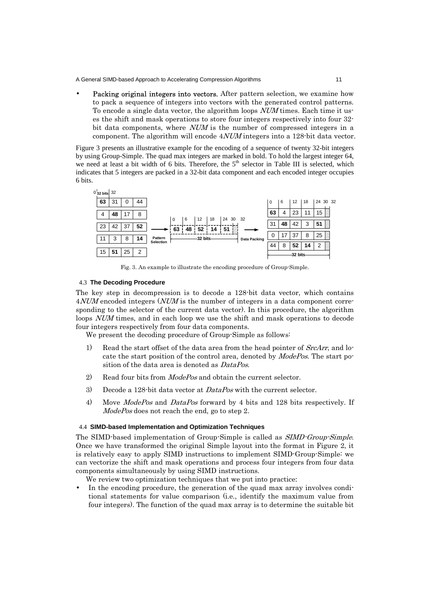Packing original integers into vectors. After pattern selection, we examine how to pack a sequence of integers into vectors with the generated control patterns. To encode a single data vector, the algorithm loops *NUM* times. Each time it uses the shift and mask operations to store four integers respectively into four 32 bit data components, where *NUM* is the number of compressed integers in a component. The algorithm will encode 4NUM integers into a 128-bit data vector.

Figure 3 presents an illustrative example for the encoding of a sequence of twenty 32-bit integers by using Group-Simple. The quad max integers are marked in bold. To hold the largest integer 64, we need at least a bit width of 6 bits. Therefore, the  $5<sup>th</sup>$  selector in Table III is selected, which indicates that 5 integers are packed in a 32-bit data component and each encoded integer occupies 6 bits.



Fig. 3. An example to illustrate the encoding procedure of Group-Simple.

# 4.3 **The Decoding Procedure**

The key step in decompression is to decode a 128-bit data vector, which contains 4*NUM* encoded integers (*NUM* is the number of integers in a data component corresponding to the selector of the current data vector). In this procedure, the algorithm loops *NUM* times, and in each loop we use the shift and mask operations to decode four integers respectively from four data components.

We present the decoding procedure of Group-Simple as follows:

- 1) Read the start offset of the data area from the head pointer of  $SrcArr$ , and locate the start position of the control area, denoted by ModePos. The start position of the data area is denoted as *DataPos*.
- 2) Read four bits from *ModePos* and obtain the current selector.
- 3) Decode a 128-bit data vector at  $DataPos$  with the current selector.
- 4) Move *ModePos* and *DataPos* forward by 4 bits and 128 bits respectively. If ModePos does not reach the end, go to step 2.

#### 4.4 **SIMD-based Implementation and Optimization Techniques**

The SIMD-based implementation of Group-Simple is called as SIMD-Group-Simple. Once we have transformed the original Simple layout into the format in Figure 2, it is relatively easy to apply SIMD instructions to implement SIMD-Group-Simple: we can vectorize the shift and mask operations and process four integers from four data components simultaneously by using SIMD instructions.

We review two optimization techniques that we put into practice:

In the encoding procedure, the generation of the quad max array involves conditional statements for value comparison (i.e., identify the maximum value from four integers). The function of the quad max array is to determine the suitable bit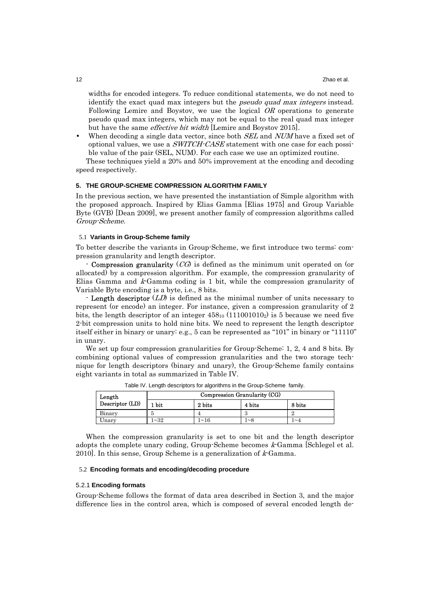widths for encoded integers. To reduce conditional statements, we do not need to identify the exact quad max integers but the *pseudo quad max integers* instead. Following Lemire and Boystov, we use the logical OR operations to generate pseudo quad max integers, which may not be equal to the real quad max integer but have the same effective bit width [Lemire and Boystov 2015].

When decoding a single data vector, since both *SEL* and *NUM* have a fixed set of optional values, we use a SWITCH-CASE statement with one case for each possible value of the pair (SEL, NUM). For each case we use an optimized routine.

These techniques yield a 20% and 50% improvement at the encoding and decoding speed respectively.

#### **5. THE GROUP-SCHEME COMPRESSION ALGORITHM FAMILY**

In the previous section, we have presented the instantiation of Simple algorithm with the proposed approach. Inspired by Elias Gamma [Elias 1975] and Group Variable Byte (GVB) [Dean 2009], we present another family of compression algorithms called Group-Scheme.

# 5.1 **Variants in Group-Scheme family**

To better describe the variants in Group-Scheme, we first introduce two terms: compression granularity and length descriptor.

**Compression granularity**  $(CG)$  is defined as the minimum unit operated on (or allocated) by a compression algorithm. For example, the compression granularity of Elias Gamma and  $k$ -Gamma coding is 1 bit, while the compression granularity of Variable Byte encoding is a byte, i.e., 8 bits.

- **Length descriptor** (*LD*) is defined as the minimal number of units necessary to represent (or encode) an integer. For instance, given a compression granularity of 2 bits, the length descriptor of an integer  $458_{10}$  (111001010<sub>2</sub>) is 5 because we need five 2-bit compression units to hold nine bits. We need to represent the length descriptor itself either in binary or unary: e.g., 5 can be represented as "101" in binary or "11110" in unary.

We set up four compression granularities for Group-Scheme: 1, 2, 4 and 8 bits. By combining optional values of compression granularities and the two storage technique for length descriptors (binary and unary), the Group-Scheme family contains eight variants in total as summarized in Table IV.

| Length          | Compression Granularity (CG) |        |          |                |  |  |
|-----------------|------------------------------|--------|----------|----------------|--|--|
| Descriptor (LD) | 1 bit                        | 2 bits | 4 bits   | 8 bits         |  |  |
| Binary          |                              |        |          |                |  |  |
| Unary           | ~2                           | 1~16   | $\sim$ 8 | $\sim\!\Delta$ |  |  |

Table IV. Length descriptors for algorithms in the Group-Scheme family.

When the compression granularity is set to one bit and the length descriptor adopts the complete unary coding, Group-Scheme becomes  $k$ -Gamma [Schlegel et al. 2010]. In this sense, Group Scheme is a generalization of  $k$ -Gamma.

### 5.2 **Encoding formats and encoding/decoding procedure**

# 5.2.1 **Encoding formats**

Group-Scheme follows the format of data area described in Section 3, and the major difference lies in the control area, which is composed of several encoded length de-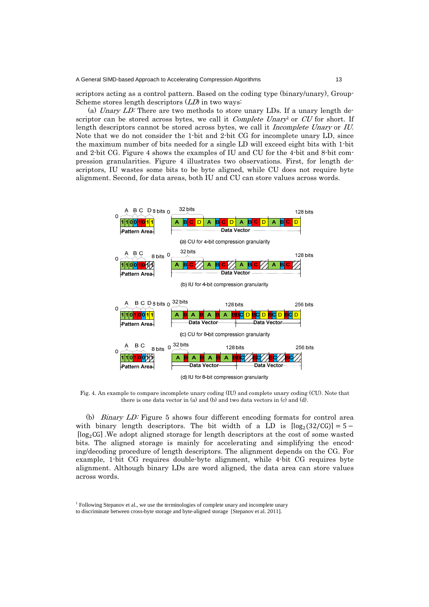scriptors acting as a control pattern. Based on the coding type (binary/unary), Group-Scheme stores length descriptors  $(LD)$  in two ways:

 (a) Unary LD: There are two methods to store unary LDs. If a unary length descriptor can be stored across bytes, we call it *Complete Unary<sup>1</sup>* or *CU* for short. If length descriptors cannot be stored across bytes, we call it *Incomplete Unary* or IU. Note that we do not consider the 1-bit and 2-bit CG for incomplete unary LD, since the maximum number of bits needed for a single LD will exceed eight bits with 1-bit and 2-bit CG. Figure 4 shows the examples of IU and CU for the 4-bit and 8-bit compression granularities. Figure 4 illustrates two observations. First, for length descriptors, IU wastes some bits to be byte aligned, while CU does not require byte alignment. Second, for data areas, both IU and CU can store values across words.



Fig. 4. An example to compare incomplete unary coding (IU) and complete unary coding (CU). Note that there is one data vector in (a) and (b) and two data vectors in (c) and (d).

(b) Binary LD: Figure 5 shows four different encoding formats for control area with binary length descriptors. The bit width of a LD is  $\lceil \log_2(32/\text{CG}) \rceil = 5$  –  $\lceil \log_2 G \rceil$ . We adopt aligned storage for length descriptors at the cost of some wasted bits. The aligned storage is mainly for accelerating and simplifying the encoding/decoding procedure of length descriptors. The alignment depends on the CG. For example, 1-bit CG requires double-byte alignment, while 4-bit CG requires byte alignment. Although binary LDs are word aligned, the data area can store values across words.

<sup>&</sup>lt;sup>1</sup> Following Stepanov et al., we use the terminologies of complete unary and incomplete unary

to discriminate between cross-byte storage and byte-aligned storage [Stepanov et al. 2011].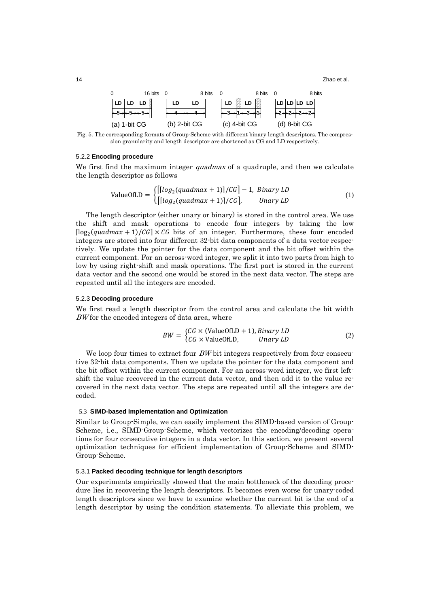14 **14** Zhao et al.

| 0                                         | 16 bits |                  | 8 bits | 0                 | 8 bits | - 0              | 8 bits |
|-------------------------------------------|---------|------------------|--------|-------------------|--------|------------------|--------|
| LD LD LD                                  |         | LD               |        | LD $\emptyset$ LD |        | LD LD LD LD      |        |
| $\models 5 \times 5 \times 5 \rightarrow$ |         |                  |        |                   |        | $+2+2+2+2+$      |        |
| $(a)$ 1-bit CG                            |         | $(b)$ 2-bit $CG$ |        | $(c)$ 4-bit $CG$  |        | $(d)$ 8-bit $CG$ |        |

Fig. 5. The corresponding formats of Group-Scheme with different binary length descriptors. The compression granularity and length descriptor are shortened as CG and LD respectively.

# 5.2.2 **Encoding procedure**

We first find the maximum integer *quadmax* of a quadruple, and then we calculate the length descriptor as follows

ValueOfLD = 
$$
\begin{cases} \left[ \left[ \log_2 (quadmax + 1) \right] / CG \right] - 1, \; Binary \, LD \\ \left[ \left[ \log_2 (quadmax + 1) \right] / CG \right], \; Unary \, LD \end{cases} \tag{1}
$$

The length descriptor (either unary or binary) is stored in the control area. We use the shift and mask operations to encode four integers by taking the low  $\lceil \log_2(quadmax + 1)/CG \rceil \times CG$  bits of an integer. Furthermore, these four encoded integers are stored into four different 32-bit data components of a data vector respectively. We update the pointer for the data component and the bit offset within the current component. For an across-word integer, we split it into two parts from high to low by using right-shift and mask operations. The first part is stored in the current data vector and the second one would be stored in the next data vector. The steps are repeated until all the integers are encoded.

### 5.2.3 **Decoding procedure**

We first read a length descriptor from the control area and calculate the bit width BW for the encoded integers of data area, where

$$
BW = \begin{cases} CG \times (ValueOfLD + 1), Binary LD \\ CG \times ValueOfLD, & Unary LD \end{cases}
$$
 (2)

We loop four times to extract four  $BW$ -bit integers respectively from four consecutive 32-bit data components. Then we update the pointer for the data component and the bit offset within the current component. For an across-word integer, we first leftshift the value recovered in the current data vector, and then add it to the value recovered in the next data vector. The steps are repeated until all the integers are decoded.

# 5.3 **SIMD-based Implementation and Optimization**

Similar to Group-Simple, we can easily implement the SIMD-based version of Group-Scheme, i.e., SIMD-Group-Scheme, which vectorizes the encoding/decoding operations for four consecutive integers in a data vector. In this section, we present several optimization techniques for efficient implementation of Group-Scheme and SIMD-Group-Scheme.

# 5.3.1 **Packed decoding technique for length descriptors**

Our experiments empirically showed that the main bottleneck of the decoding procedure lies in recovering the length descriptors. It becomes even worse for unary-coded length descriptors since we have to examine whether the current bit is the end of a length descriptor by using the condition statements. To alleviate this problem, we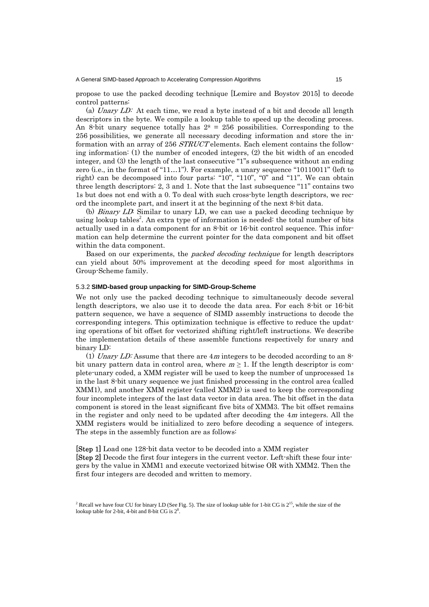propose to use the packed decoding technique [Lemire and Boystov 2015] to decode control patterns:

(a) Unary  $LD$ : At each time, we read a byte instead of a bit and decode all length descriptors in the byte. We compile a lookup table to speed up the decoding process. An 8-bit unary sequence totally has  $2^8 = 256$  possibilities. Corresponding to the 256 possibilities, we generate all necessary decoding information and store the information with an array of 256 STRUCT elements. Each element contains the following information: (1) the number of encoded integers, (2) the bit width of an encoded integer, and (3) the length of the last consecutive "1"s subsequence without an ending zero (i.e., in the format of "11…1"). For example, a unary sequence "10110011" (left to right) can be decomposed into four parts: "10", "110", "0" and "11". We can obtain three length descriptors: 2, 3 and 1. Note that the last subsequence "11" contains two 1s but does not end with a 0. To deal with such cross-byte length descriptors, we record the incomplete part, and insert it at the beginning of the next 8-bit data.

(b) Binary LD: Similar to unary LD, we can use a packed decoding technique by using lookup tables<sup>2</sup>. An extra type of information is needed: the total number of bits actually used in a data component for an 8-bit or 16-bit control sequence. This information can help determine the current pointer for the data component and bit offset within the data component.

Based on our experiments, the *packed decoding technique* for length descriptors can yield about 50% improvement at the decoding speed for most algorithms in Group-Scheme family.

### 5.3.2 **SIMD-based group unpacking for SIMD-Group-Scheme**

We not only use the packed decoding technique to simultaneously decode several length descriptors, we also use it to decode the data area. For each 8-bit or 16-bit pattern sequence, we have a sequence of SIMD assembly instructions to decode the corresponding integers. This optimization technique is effective to reduce the updating operations of bit offset for vectorized shifting right/left instructions. We describe the implementation details of these assemble functions respectively for unary and binary LD:

(1) Unary LD: Assume that there are  $4m$  integers to be decoded according to an 8bit unary pattern data in control area, where  $m \geq 1$ . If the length descriptor is complete-unary coded, a XMM register will be used to keep the number of unprocessed 1s in the last 8-bit unary sequence we just finished processing in the control area (called XMM1), and another XMM register (called XMM2) is used to keep the corresponding four incomplete integers of the last data vector in data area. The bit offset in the data component is stored in the least significant five bits of XMM3. The bit offset remains in the register and only need to be updated after decoding the  $4m$  integers. All the XMM registers would be initialized to zero before decoding a sequence of integers. The steps in the assembly function are as follows:

[Step 1] Load one 128-bit data vector to be decoded into a XMM register [Step 2] Decode the first four integers in the current vector. Left-shift these four integers by the value in XMM1 and execute vectorized bitwise OR with XMM2. Then the first four integers are decoded and written to memory.

<sup>&</sup>lt;sup>2</sup> Recall we have four CU for binary LD (See Fig. 5). The size of lookup table for 1-bit CG is  $2^{15}$ , while the size of the lookup table for 2-bit, 4-bit and 8-bit  $CG$  is  $2<sup>8</sup>$ .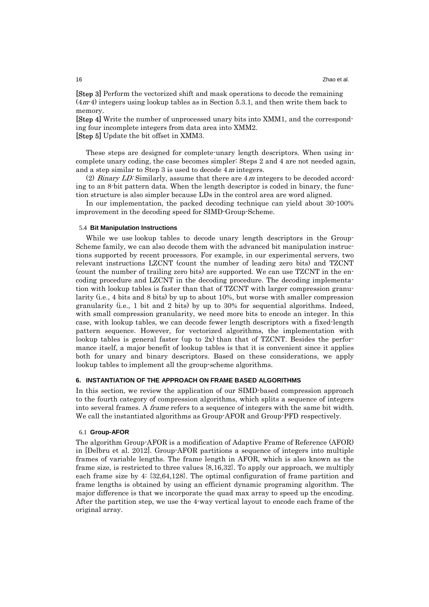[Step 3] Perform the vectorized shift and mask operations to decode the remaining (4m-4) integers using lookup tables as in Section 5.3.1, and then write them back to memory.

[Step 4] Write the number of unprocessed unary bits into XMM1, and the corresponding four incomplete integers from data area into XMM2. [Step 5] Update the bit offset in XMM3.

These steps are designed for complete-unary length descriptors. When using incomplete unary coding, the case becomes simpler: Steps 2 and 4 are not needed again, and a step similar to Step 3 is used to decode 4m integers.

(2) Binary LD: Similarly, assume that there are  $4m$  integers to be decoded according to an 8-bit pattern data. When the length descriptor is coded in binary, the function structure is also simpler because LDs in the control area are word aligned.

In our implementation, the packed decoding technique can yield about 30-100% improvement in the decoding speed for SIMD-Group-Scheme.

#### 5.4 **Bit Manipulation Instructions**

While we use lookup tables to decode unary length descriptors in the Group-Scheme family, we can also decode them with the advanced bit manipulation instructions supported by recent processors. For example, in our experimental servers, two relevant instructions LZCNT (count the number of leading zero bits) and TZCNT (count the number of trailing zero bits) are supported. We can use TZCNT in the encoding procedure and LZCNT in the decoding procedure. The decoding implementation with lookup tables is faster than that of TZCNT with larger compression granularity (i.e., 4 bits and 8 bits) by up to about 10%, but worse with smaller compression granularity (i.e., 1 bit and 2 bits) by up to 30% for sequential algorithms. Indeed, with small compression granularity, we need more bits to encode an integer. In this case, with lookup tables, we can decode fewer length descriptors with a fixed-length pattern sequence. However, for vectorized algorithms, the implementation with lookup tables is general faster (up to  $2x$ ) than that of TZCNT. Besides the performance itself, a major benefit of lookup tables is that it is convenient since it applies both for unary and binary descriptors. Based on these considerations, we apply lookup tables to implement all the group-scheme algorithms.

### **6. INSTANTIATION OF THE APPROACH ON FRAME BASED ALGORITHMS**

In this section, we review the application of our SIMD-based compression approach to the fourth category of compression algorithms, which splits a sequence of integers into several frames. A frame refers to a sequence of integers with the same bit width. We call the instantiated algorithms as Group-AFOR and Group-PFD respectively.

#### 6.1 **Group-AFOR**

The algorithm Group-AFOR is a modification of Adaptive Frame of Reference (AFOR) in [Delbru et al. 2012]. Group-AFOR partitions a sequence of integers into multiple frames of variable lengths. The frame length in AFOR, which is also known as the frame size, is restricted to three values {8,16,32}. To apply our approach, we multiply each frame size by 4: {32,64,128}. The optimal configuration of frame partition and frame lengths is obtained by using an efficient dynamic programing algorithm. The major difference is that we incorporate the quad max array to speed up the encoding. After the partition step, we use the 4-way vertical layout to encode each frame of the original array.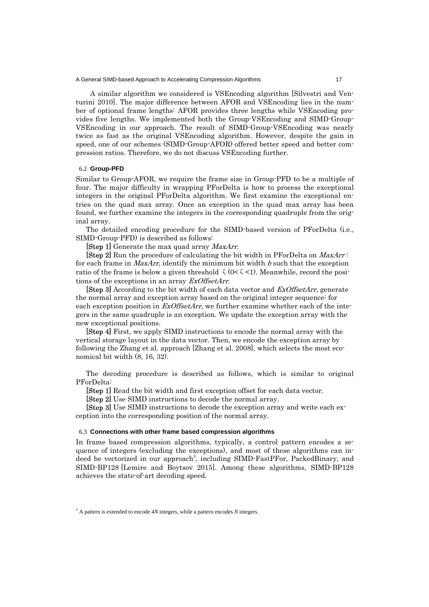A similar algorithm we considered is VSEncoding algorithm [Silvestri and Venturini 2010]. The major difference between AFOR and VSEncoding lies in the number of optional frame lengths: AFOR provides three lengths while VSEncoding provides five lengths. We implemented both the Group-VSEncoding and SIMD-Group-VSEncoding in our approach. The result of SIMD-Group-VSEncoding was nearly twice as fast as the original VSEncoding algorithm. However, despite the gain in speed, one of our schemes (SIMD-Group-AFOR) offered better speed and better compression ratios. Therefore, we do not discuss VSEncoding further.

#### 6.2 **Group-PFD**

Similar to Group-AFOR, we require the frame size in Group-PFD to be a multiple of four. The major difficulty in wrapping PForDelta is how to process the exceptional integers in the original PForDelta algorithm. We first examine the exceptional entries on the quad max array. Once an exception in the quad max array has been found, we further examine the integers in the corresponding quadruple from the original array.

The detailed encoding procedure for the SIMD-based version of PForDelta (i.e., SIMD-Group-PFD) is described as follows:

**[Step 1]** Generate the max quad array *MaxArr*.

**[Step 2]** Run the procedure of calculating the bit width in PForDelta on  $MaxArr$ : for each frame in  $MaxArr$ , identify the minimum bit width  $b$  such that the exception ratio of the frame is below a given threshold  $\zeta$  (0< $\zeta$  < 1). Meanwhile, record the positions of the exceptions in an array ExOffsetArr.

**[Step 3]** According to the bit width of each data vector and *ExOffsetArr*, generate the normal array and exception array based on the original integer sequence: for each exception position in  $ExOffsetArr$ , we further examine whether each of the integers in the same quadruple is an exception. We update the exception array with the new exceptional positions.

[Step 4] First, we apply SIMD instructions to encode the normal array with the vertical storage layout in the data vector. Then, we encode the exception array by following the Zhang et al. approach [Zhang et al. 2008], which selects the most economical bit width (8, 16, 32).

The decoding procedure is described as follows, which is similar to original PForDelta:

[Step 1] Read the bit width and first exception offset for each data vector.

[Step 2] Use SIMD instructions to decode the normal array.

[Step 3] Use SIMD instructions to decode the exception array and write each exception into the corresponding position of the normal array.

#### 6.3 **Connections with other frame based compression algorithms**

In frame based compression algorithms, typically, a control pattern encodes a sequence of integers (excluding the exceptions), and most of these algorithms can indeed be vectorized in our approach<sup>3</sup>, including SIMD-FastPFor, PackedBinary, and SIMD-BP128 [Lemire and Boytsov 2015]. Among these algorithms, SIMD-BP128 achieves the state-of-art decoding speed.

<sup>3</sup> A pattern is extended to encode 4*N* integers, while a pattern encodes *N* integers.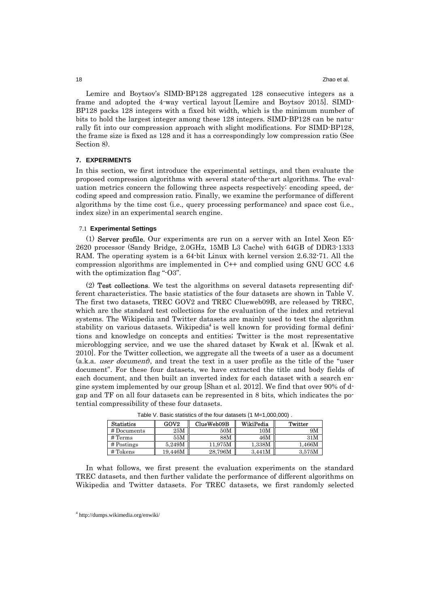Lemire and Boytsov's SIMD-BP128 aggregated 128 consecutive integers as a frame and adopted the 4-way vertical layout [Lemire and Boytsov 2015]. SIMD-BP128 packs 128 integers with a fixed bit width, which is the minimum number of bits to hold the largest integer among these 128 integers. SIMD-BP128 can be naturally fit into our compression approach with slight modifications. For SIMD-BP128, the frame size is fixed as 128 and it has a correspondingly low compression ratio (See Section 8).

#### **7. EXPERIMENTS**

In this section, we first introduce the experimental settings, and then evaluate the proposed compression algorithms with several state-of-the-art algorithms. The evaluation metrics concern the following three aspects respectively: encoding speed, decoding speed and compression ratio. Finally, we examine the performance of different algorithms by the time cost (i.e., query processing performance) and space cost (i.e., index size) in an experimental search engine.

# 7.1 **Experimental Settings**

(1) Server profile. Our experiments are run on a server with an Intel Xeon E5- 2620 processor (Sandy Bridge, 2.0GHz, 15MB L3 Cache) with 64GB of DDR3-1333 RAM. The operating system is a 64-bit Linux with kernel version 2.6.32-71. All the compression algorithms are implemented in C++ and complied using GNU GCC 4.6 with the optimization flag "-O3".

(2) Test collections. We test the algorithms on several datasets representing different characteristics. The basic statistics of the four datasets are shown in Table V. The first two datasets, TREC GOV2 and TREC Clueweb09B, are released by TREC, which are the standard test collections for the evaluation of the index and retrieval systems. The Wikipedia and Twitter datasets are mainly used to test the algorithm stability on various datasets. Wikipedia<sup>4</sup> is well known for providing formal definitions and knowledge on concepts and entities; Twitter is the most representative microblogging service, and we use the shared dataset by Kwak et al. [Kwak et al. 2010]. For the Twitter collection, we aggregate all the tweets of a user as a document  $(a,k,a.$  user document, and treat the text in a user profile as the title of the "user" document". For these four datasets, we have extracted the title and body fields of each document, and then built an inverted index for each dataset with a search engine system implemented by our group [Shan et al. 2012]. We find that over 90% of dgap and TF on all four datasets can be represented in 8 bits, which indicates the potential compressibility of these four datasets.

| <b>Statistics</b>  | GOV <sub>2</sub>   | ClueWeb09B | WikiPedia      | Twitter       |
|--------------------|--------------------|------------|----------------|---------------|
| # Documents        | $25\mathrm{M}$     | 50M        | $10\mathrm{M}$ | 9Μ            |
| $# \mathrm{Terms}$ | 55M                | 88M        | 46M            | 31M           |
| $#$ Postings       | 5.249M             | 11.975M    | 1.338M         | $1.466\rm{M}$ |
| # Tokens           | $19.446\mathrm{M}$ | 28,796M    | 3.441M         | 3.575M        |

Table V. Basic statistics of the four datasets (1 M=1,000,000) .

In what follows, we first present the evaluation experiments on the standard TREC datasets, and then further validate the performance of different algorithms on Wikipedia and Twitter datasets. For TREC datasets, we first randomly selected

<sup>4</sup> http://dumps.wikimedia.org/enwiki/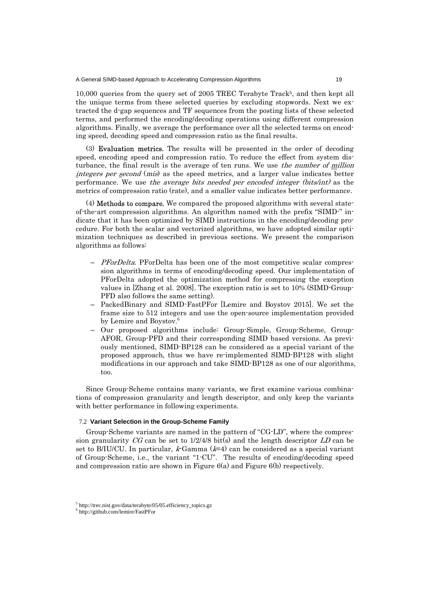10,000 queries from the query set of 2005 TREC Terabyte Track<sup>5</sup>, and then kept all the unique terms from these selected queries by excluding stopwords. Next we extracted the d-gap sequences and TF sequences from the posting lists of these selected terms, and performed the encoding/decoding operations using different compression algorithms. Finally, we average the performance over all the selected terms on encoding speed, decoding speed and compression ratio as the final results.

(3) Evaluation metrics. The results will be presented in the order of decoding speed, encoding speed and compression ratio. To reduce the effect from system disturbance, the final result is the average of ten runs. We use the number of million integers per second (mis) as the speed metrics, and a larger value indicates better performance. We use the average bits needed per encoded integer (bits/int) as the metrics of compression ratio (rate), and a smaller value indicates better performance.

(4) Methods to compare. We compared the proposed algorithms with several stateof-the-art compression algorithms. An algorithm named with the prefix "SIMD-" indicate that it has been optimized by SIMD instructions in the encoding/decoding procedure. For both the scalar and vectorized algorithms, we have adopted similar optimization techniques as described in previous sections. We present the comparison algorithms as follows:

- PForDelta. PForDelta has been one of the most competitive scalar compression algorithms in terms of encoding/decoding speed. Our implementation of PForDelta adopted the optimization method for compressing the exception values in [Zhang et al. 2008]. The exception ratio is set to 10% (SIMD-Group-PFD also follows the same setting).
- PackedBinary and SIMD-FastPFor [Lemire and Boystov 2015]. We set the frame size to 512 integers and use the open-source implementation provided by Lemire and Boystov.<sup>6</sup>
- Our proposed algorithms include: Group-Simple, Group-Scheme, Group-AFOR, Group-PFD and their corresponding SIMD based versions. As previously mentioned, SIMD-BP128 can be considered as a special variant of the proposed approach, thus we have re-implemented SIMD-BP128 with slight modifications in our approach and take SIMD-BP128 as one of our algorithms, too.

Since Group-Scheme contains many variants, we first examine various combinations of compression granularity and length descriptor, and only keep the variants with better performance in following experiments.

# 7.2 **Variant Selection in the Group-Scheme Family**

Group-Scheme variants are named in the pattern of "CG-LD", where the compression granularity CG can be set to  $1/2/4/8$  bit(s) and the length descriptor LD can be set to B/IU/CU. In particular,  $k$ -Gamma  $(k=4)$  can be considered as a special variant of Group-Scheme, i.e., the variant "1-CU". The results of encoding/decoding speed and compression ratio are shown in Figure  $6(a)$  and Figure  $6(b)$  respectively.

<sup>5</sup> http://trec.nist.gov/data/terabyte/05/05.efficiency\_topics.gz

<sup>6</sup> http://github.com/lemire/FastPFor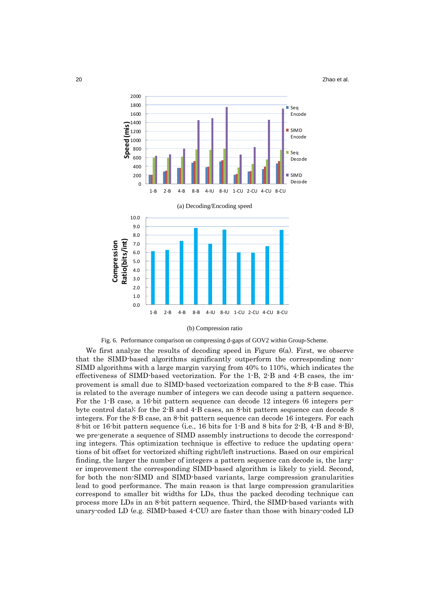20 **Zhao et al.** 



#### (b) Compression ratio



We first analyze the results of decoding speed in Figure 6(a). First, we observe that the SIMD-based algorithms significantly outperform the corresponding non-SIMD algorithms with a large margin varying from 40% to 110%, which indicates the effectiveness of SIMD-based vectorization. For the 1-B, 2-B and 4-B cases, the improvement is small due to SIMD-based vectorization compared to the 8-B case. This is related to the average number of integers we can decode using a pattern sequence. For the 1-B case, a 16-bit pattern sequence can decode 12 integers (6 integers perbyte control data); for the 2-B and 4-B cases, an 8-bit pattern sequence can decode 8 integers. For the 8-B case, an 8-bit pattern sequence can decode 16 integers. For each 8-bit or 16-bit pattern sequence (i.e., 16 bits for 1-B and 8 bits for 2-B, 4-B and 8-B), we pre-generate a sequence of SIMD assembly instructions to decode the corresponding integers. This optimization technique is effective to reduce the updating operations of bit offset for vectorized shifting right/left instructions. Based on our empirical finding, the larger the number of integers a pattern sequence can decode is, the larger improvement the corresponding SIMD-based algorithm is likely to yield. Second, for both the non-SIMD and SIMD-based variants, large compression granularities lead to good performance. The main reason is that large compression granularities correspond to smaller bit widths for LDs, thus the packed decoding technique can process more LDs in an 8-bit pattern sequence. Third, the SIMD-based variants with unary-coded LD (e.g. SIMD-based 4-CU) are faster than those with binary-coded LD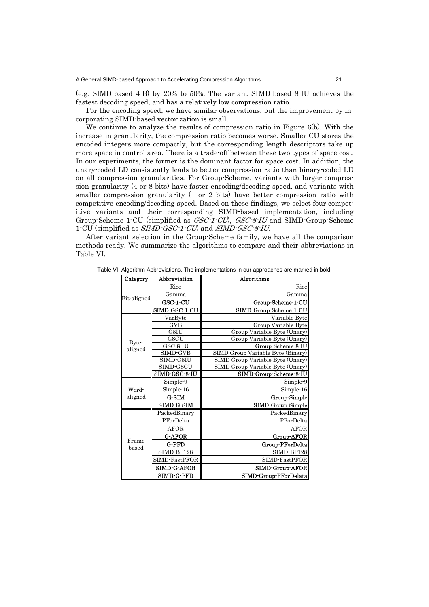(e.g. SIMD-based 4-B) by 20% to 50%. The variant SIMD-based 8-IU achieves the fastest decoding speed, and has a relatively low compression ratio.

For the encoding speed, we have similar observations, but the improvement by incorporating SIMD-based vectorization is small.

We continue to analyze the results of compression ratio in Figure 6(b). With the increase in granularity, the compression ratio becomes worse. Smaller CU stores the encoded integers more compactly, but the corresponding length descriptors take up more space in control area. There is a trade-off between these two types of space cost. In our experiments, the former is the dominant factor for space cost. In addition, the unary-coded LD consistently leads to better compression ratio than binary-coded LD on all compression granularities. For Group-Scheme, variants with larger compression granularity (4 or 8 bits) have faster encoding/decoding speed, and variants with smaller compression granularity (1 or 2 bits) have better compression ratio with competitive encoding/decoding speed. Based on these findings, we select four competitive variants and their corresponding SIMD-based implementation, including Group-Scheme 1-CU (simplified as *GSC-1-CU*), *GSC-8-IU* and SIMD-Group-Scheme 1-CU (simplified as SIMD-GSC-1-CU) and SIMD-GSC-8-IU.

After variant selection in the Group-Scheme family, we have all the comparison methods ready. We summarize the algorithms to compare and their abbreviations in Table VI.

| Category    | Abbreviation         | Algorithms                        |
|-------------|----------------------|-----------------------------------|
|             | Rice                 | Rice                              |
| Bit-aligned | Gamma                | Gamma                             |
|             | GSC-1-CU             | Group-Scheme-1-CU                 |
|             | <b>SIMD-GSC-1-CU</b> | SIMD-Group-Scheme-1-CU            |
|             | VarByte              | Variable Byte                     |
|             | <b>GVB</b>           | Group Variable Byte               |
|             | G8IU                 | Group Variable Byte (Unary)       |
| Byte-       | G8CU                 | Group Variable Byte (Unary)       |
| aligned     | GSC-8-IU             | Group-Scheme-8-IU                 |
|             | SIMD-GVB             | SIMD Group Variable Byte (Binary) |
|             | SIMD-G8IU            | SIMD Group Variable Byte (Unary)  |
|             | SIMD-G8CU            | SIMD Group Variable Byte (Unary)  |
|             | SIMD-GSC-8-IU        | SIMD-Group-Scheme-8-IU            |
|             | Simple-9             | Simple-9                          |
| Word-       | Simple-16            | Simple-16                         |
| aligned     | G-SIM                | Group-Simple                      |
|             | <b>SIMD-G-SIM</b>    | SIMD-Group-Simple                 |
|             | PackedBinary         | PackedBinary                      |
|             | PForDelta            | PForDelta                         |
|             | AFOR                 | AFOR                              |
|             | <b>G-AFOR</b>        | Group-AFOR                        |
| Frame       | <b>G-PFD</b>         | Group-PForDelta                   |
| based       | SIMD-BP128           | SIMD-BP128                        |
|             | SIMD-FastPFOR        | SIMD-FastPFOR                     |
|             | <b>SIMD-G-AFOR</b>   | SIMD-Group-AFOR                   |
|             | <b>SIMD-G-PFD</b>    | SIMD-Group-PForDelata             |

Table VI. Algorithm Abbreviations. The implementations in our approaches are marked in bold.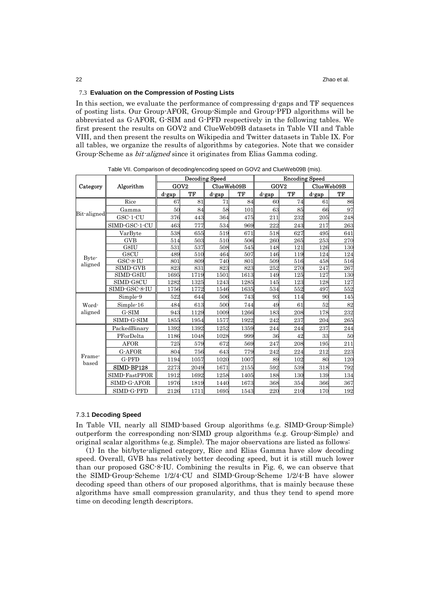# 7.3 **Evaluation on the Compression of Posting Lists**

In this section, we evaluate the performance of compressing d-gaps and TF sequences of posting lists. Our Group-AFOR, Group-Simple and Group-PFD algorithms will be abbreviated as G-AFOR, G-SIM and G-PFD respectively in the following tables. We first present the results on GOV2 and ClueWeb09B datasets in Table VII and Table VIII, and then present the results on Wikipedia and Twitter datasets in Table IX. For all tables, we organize the results of algorithms by categories. Note that we consider Group-Scheme as bit-aligned since it originates from Elias Gamma coding.

|                       |               |                  | <b>Decoding Speed</b> |            |      |                  | <b>Encoding Speed</b> |            |     |  |
|-----------------------|---------------|------------------|-----------------------|------------|------|------------------|-----------------------|------------|-----|--|
| Algorithm<br>Category |               | GOV <sub>2</sub> |                       | ClueWeb09B |      | GOV <sub>2</sub> |                       | ClueWeb09B |     |  |
|                       |               | d-gap            | TF                    | d-gap      | ТF   | d-gap            | TF                    | d-gap      | TF  |  |
|                       | Rice          | 67               | 81                    | 71         | 84   | 60               | 74                    | 61         | 86  |  |
| Bit-aligned           | Gamma         | 50               | 84                    | 58         | 101  | 63               | 85                    | 66         | 97  |  |
|                       | $GSC-1-CU$    | 376              | 443                   | 364        | 475  | 211              | 232                   | 205        | 248 |  |
|                       | SIMD-GSC-1-CU | 463              | 777                   | 534        | 969  | 222              | 243                   | 217        | 263 |  |
|                       | VarByte       | 538              | 655                   | 519        | 671  | 518              | 627                   | 495        | 641 |  |
|                       | <b>GVB</b>    | 514              | 503                   | 510        | 506  | 260              | 265                   | 253        | 270 |  |
|                       | G8IU          | 531              | 537                   | 508        | 545  | 148              | 121                   | 126        | 130 |  |
| Byte-                 | G8CU          | 489              | 510                   | 464        | 507  | 146              | 119                   | 124        | 124 |  |
| aligned               | GSC-8-IU      | 801              | 809                   | 740        | 801  | 509              | 516                   | 458        | 516 |  |
|                       | SIMD-GVB      | 823              | 831                   | 823        | 823  | 252              | 270                   | 247        | 267 |  |
|                       | SIMD-G8IU     | 1695             | 1719                  | 1501       | 1613 | 149              | 125                   | 127        | 130 |  |
|                       | SIMD-G8CU     | 1282             | 1325                  | 1243       | 1285 | 145              | 123                   | 128        | 127 |  |
|                       | SIMD-GSC-8-IU | 1756             | 1772                  | 1546       | 1635 | 534              | 552                   | 497        | 552 |  |
|                       | Simple-9      | 522              | 644                   | 506        | 743  | 93               | 114                   | 90         | 145 |  |
| Word-                 | Simple-16     | 484              | 613                   | 500        | 744  | 49               | 61                    | 52         | 82  |  |
| aligned               | G-SIM         | 943              | 1129                  | 1009       | 1266 | 183              | 208                   | 178        | 232 |  |
|                       | SIMD-G-SIM    | 1855             | 1954                  | 1577       | 1922 | 242              | 237                   | 204        | 265 |  |
|                       | PackedBinary  | 1392             | 1392                  | 1252       | 1359 | 244              | 244                   | 237        | 244 |  |
|                       | PForDelta     | 1186             | 1048                  | 1028       | 999  | 36               | 42                    | 33         | 50  |  |
|                       | <b>AFOR</b>   | 725              | 579                   | 672        | 569  | 247              | 208                   | 195        | 211 |  |
|                       | G-AFOR        | 804              | 756                   | 643        | 779  | 242              | 224                   | 212        | 223 |  |
| Frame-<br>based       | G-PFD         | 1194             | 1057                  | 1020       | 1007 | 89               | 102                   | 80         | 120 |  |
|                       | SIMD-BP128    | 2273             | 2049                  | 1671       | 2155 | 592              | 539                   | 318        | 792 |  |
|                       | SIMD-FastPFOR | 1912             | 1692                  | 1258       | 1405 | 188              | 130                   | 139        | 134 |  |
|                       | SIMD-G-AFOR   | 1976             | 1819                  | 1440       | 1673 | 368              | 354                   | 366        | 367 |  |
|                       | SIMD-G-PFD    | 2126             | 1711                  | 1695       | 1543 | 220              | 210                   | 170        | 192 |  |

Table VII. Comparison of decoding/encoding speed on GOV2 and ClueWeb09B (mis).

### 7.3.1 **Decoding Speed**

In Table VII, nearly all SIMD-based Group algorithms (e.g. SIMD-Group-Simple) outperform the corresponding non-SIMD group algorithms (e.g. Group-Simple) and original scalar algorithms (e.g. Simple). The major observations are listed as follows:

(1) In the bit/byte-aligned category, Rice and Elias Gamma have slow decoding speed. Overall, GVB has relatively better decoding speed, but it is still much lower than our proposed GSC-8-IU. Combining the results in Fig. 6, we can observe that the SIMD-Group-Scheme 1/2/4-CU and SIMD-Group-Scheme 1/2/4-B have slower decoding speed than others of our proposed algorithms, that is mainly because these algorithms have small compression granularity, and thus they tend to spend more time on decoding length descriptors.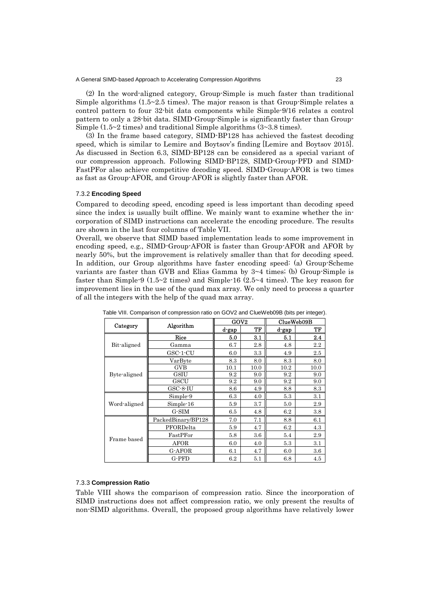(2) In the word-aligned category, Group-Simple is much faster than traditional Simple algorithms  $(1.5~2.5~times)$ . The major reason is that Group-Simple relates a control pattern to four 32-bit data components while Simple-9/16 relates a control pattern to only a 28-bit data. SIMD-Group-Simple is significantly faster than Group-Simple  $(1.5~2~times)$  and traditional Simple algorithms  $(3~3.8~times)$ .

(3) In the frame based category, SIMD-BP128 has achieved the fastest decoding speed, which is similar to Lemire and Boytsov's finding [Lemire and Boytsov 2015]. As discussed in Section 6.3, SIMD-BP128 can be considered as a special variant of our compression approach. Following SIMD-BP128, SIMD-Group-PFD and SIMD-FastPFor also achieve competitive decoding speed. SIMD-Group-AFOR is two times as fast as Group-AFOR, and Group-AFOR is slightly faster than AFOR.

### 7.3.2 **Encoding Speed**

Compared to decoding speed, encoding speed is less important than decoding speed since the index is usually built offline. We mainly want to examine whether the incorporation of SIMD instructions can accelerate the encoding procedure. The results are shown in the last four columns of Table VII.

Overall, we observe that SIMD based implementation leads to some improvement in encoding speed, e.g., SIMD-Group-AFOR is faster than Group-AFOR and AFOR by nearly 50%, but the improvement is relatively smaller than that for decoding speed. In addition, our Group algorithms have faster encoding speed: (a) Group-Scheme variants are faster than GVB and Elias Gamma by 3~4 times; (b) Group-Simple is faster than Simple-9 (1.5~2 times) and Simple-16 (2.5~4 times). The key reason for improvement lies in the use of the quad max array. We only need to process a quarter of all the integers with the help of the quad max array.

|              |                    | GOV2  |      | ClueWeb09B |         |  |
|--------------|--------------------|-------|------|------------|---------|--|
| Category     | Algorithm          | d-gap | TF   | d-gap      | TF      |  |
|              | Rice               | 5.0   | 3.1  | 5.1        | 2.4     |  |
| Bit-aligned  | Gamma              | 6.7   | 2.8  | 4.8        | 2.2     |  |
|              | GSC-1-CU           | 6.0   | 3.3  | 4.9        | $2.5\,$ |  |
|              | VarByte            | 8.3   | 8.0  | 8.3        | 8.0     |  |
|              | <b>GVB</b>         | 10.1  | 10.0 | 10.2       | 10.0    |  |
| Byte-aligned | G8IU               | 9.2   | 9.0  | 9.2        | 9.0     |  |
|              | G8CU               | 9.2   | 9.0  | 9.2        | 9.0     |  |
|              | GSC-8-IU           | 8.6   | 4.9  | 8.8        | 8.3     |  |
|              | Simple-9           | 6.3   | 4.0  | 5.3        | 3.1     |  |
| Word-aligned | Simple-16          | 5.9   | 3.7  | 5.0        | 2.9     |  |
|              | G-SIM              | 6.5   | 4.8  | 6.2        | 3.8     |  |
|              | PackedBinary/BP128 | 7.0   | 7.1  | 8.8        | 6.1     |  |
|              | PFORDelta          | 5.9   | 4.7  | 6.2        | 4.3     |  |
| Frame based  | FastPFor           | 5.8   | 3.6  | 5.4        | 2.9     |  |
|              | AFOR               | 6.0   | 4.0  | 5.3        | 3.1     |  |
|              | G-AFOR             | 6.1   | 4.7  | 6.0        | 3.6     |  |
|              | G-PFD              | 6.2   | 5.1  | 6.8        | 4.5     |  |

Table VIII. Comparison of compression ratio on GOV2 and ClueWeb09B (bits per integer).

# 7.3.3 **Compression Ratio**

Table VIII shows the comparison of compression ratio. Since the incorporation of SIMD instructions does not affect compression ratio, we only present the results of non-SIMD algorithms. Overall, the proposed group algorithms have relatively lower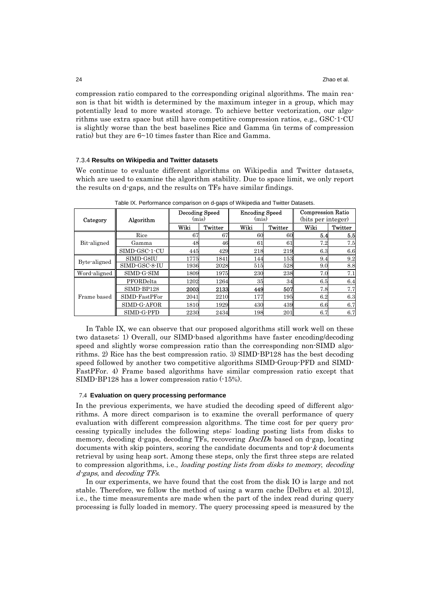compression ratio compared to the corresponding original algorithms. The main reason is that bit width is determined by the maximum integer in a group, which may potentially lead to more wasted storage. To achieve better vectorization, our algorithms use extra space but still have competitive compression ratios, e.g., GSC-1-CU is slightly worse than the best baselines Rice and Gamma (in terms of compression ratio) but they are 6~10 times faster than Rice and Gamma.

# 7.3.4 **Results on Wikipedia and Twitter datasets**

We continue to evaluate different algorithms on Wikipedia and Twitter datasets, which are used to examine the algorithm stability. Due to space limit, we only report the results on d-gaps, and the results on TFs have similar findings.

| Category     | Algorithm     | Decoding Speed<br>(mis) |         | <b>Encoding Speed</b><br>(mis) |            | <b>Compression Ratio</b><br>(bits per integer) |         |
|--------------|---------------|-------------------------|---------|--------------------------------|------------|------------------------------------------------|---------|
|              |               | Wiki                    | Twitter | Wiki                           | Twitter    | Wiki                                           | Twitter |
|              | Rice          | 67                      | 67      | 60                             | 60         | 5.4                                            | 5.5     |
| Bit-aligned  | Gamma         | 48                      | 46      | 61                             | 61         | 7.2                                            | 7.5     |
|              | SIMD-GSC-1-CU | 445                     | 429     | 218                            | 219        | 6.3                                            | 6.6     |
|              | SIMD-G8IU     | 1775                    | 1841    | 144                            | 153        | 9.4                                            | 9.2     |
| Byte-aligned | SIMD-GSC-8-IU | 1936                    | 2028    | 515                            | 528        | 9.0                                            | 8.8     |
| Word-aligned | SIMD-G-SIM    | 1809                    | 1975    | 230                            | 238        | 7.0                                            | 7.1     |
|              | PFORDelta     | 1202                    | 1264    | 35                             | 34         | 6.5                                            | 6.4     |
|              | SIMD-BP128    | 2003                    | 2133    | 449                            | 507        | 7.8                                            | 7.7     |
| Frame based  | SIMD-FastPFor | 2041                    | 2210    | 177                            | 195        | 6.2                                            | 6.3     |
|              | SIMD-G-AFOR   | 1810                    | 1929    | 430                            | 439        | 6.6                                            | 6.7     |
|              | SIMD-G-PFD    | 2230                    | 2434    | 198                            | <b>201</b> | 6.7                                            | 6.7     |

Table IX. Performance comparison on d-gaps of Wikipedia and Twitter Datasets.

In Table IX, we can observe that our proposed algorithms still work well on these two datasets: 1) Overall, our SIMD-based algorithms have faster encoding/decoding speed and slightly worse compression ratio than the corresponding non-SIMD algorithms. 2) Rice has the best compression ratio. 3) SIMD-BP128 has the best decoding speed followed by another two competitive algorithms SIMD-Group-PFD and SIMD-FastPFor. 4) Frame based algorithms have similar compression ratio except that SIMD-BP128 has a lower compression ratio (-15%).

#### 7.4 **Evaluation on query processing performance**

In the previous experiments, we have studied the decoding speed of different algorithms. A more direct comparison is to examine the overall performance of query evaluation with different compression algorithms. The time cost for per query processing typically includes the following steps: loading posting lists from disks to memory, decoding d-gaps, decoding TFs, recovering *DocID*s based on d-gap, locating documents with skip pointers, scoring the candidate documents and top- $k$  documents retrieval by using heap sort. Among these steps, only the first three steps are related to compression algorithms, i.e., loading posting lists from disks to memory, decoding d-gaps, and decoding TFs.

In our experiments, we have found that the cost from the disk IO is large and not stable. Therefore, we follow the method of using a warm cache [Delbru et al. 2012], i.e., the time measurements are made when the part of the index read during query processing is fully loaded in memory. The query processing speed is measured by the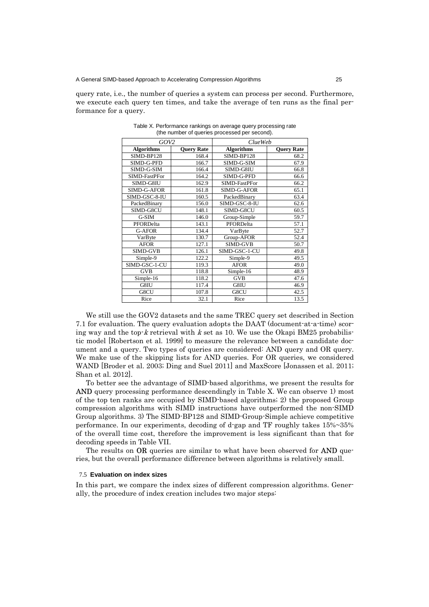query rate, i.e., the number of queries a system can process per second. Furthermore, we execute each query ten times, and take the average of ten runs as the final performance for a query.

| GOV <sub>2</sub>   |                   | <i>ClueWeb</i>    |                   |  |  |
|--------------------|-------------------|-------------------|-------------------|--|--|
| <b>Algorithms</b>  | <b>Query Rate</b> | <b>Algorithms</b> | <b>Query Rate</b> |  |  |
| SIMD-BP128         | 168.4             | SIMD-BP128        | 68.2              |  |  |
| SIMD-G-PFD         | 166.7             | SIMD-G-SIM        | 67.9              |  |  |
| SIMD-G-SIM         | 166.4             | SIMD-G8IU         | 66.8              |  |  |
| SIMD-FastPFor      | 164.2             | SIMD-G-PFD        | 66.6              |  |  |
| SIMD-G8IU          | 162.9             | SIMD-FastPFor     | 66.2              |  |  |
| <b>SIMD-G-AFOR</b> | 161.8             | SIMD-G-AFOR       | 65.1              |  |  |
| SIMD-GSC-8-IU      | 160.5             | PackedBinary      | 63.4              |  |  |
| PackedBinary       | 156.0             | SIMD-GSC-8-IU     | 62.6              |  |  |
| SIMD-G8CU          | 148.1             | SIMD-G8CU         | 60.5              |  |  |
| G-SIM              | 146.0             | Group-Simple      | 59.7              |  |  |
| PFORDelta          | 143.1             | PFORDelta         | 57.1              |  |  |
| G-AFOR             | 134.4             | VarByte           | 52.7              |  |  |
| VarByte            | 130.7             | Group-AFOR        | 52.4              |  |  |
| <b>AFOR</b>        | 127.1             | <b>SIMD-GVB</b>   | 50.7              |  |  |
| SIMD-GVB           | 126.1             | SIMD-GSC-1-CU     | 49.8              |  |  |
| Simple-9           | 122.2             | Simple-9          | 49.5              |  |  |
| SIMD-GSC-1-CU      | 119.3             | <b>AFOR</b>       | 49.0              |  |  |
| <b>GVB</b>         | 118.8             | Simple-16         | 48.9              |  |  |
| Simple-16          | 118.2             | <b>GVB</b>        | 47.6              |  |  |
| G8IU               | 117.4             | G8IU              | 46.9              |  |  |
| G8CU               | 107.8             | G8CU              | 42.5              |  |  |
| Rice               | 32.1              | Rice              | 13.5              |  |  |

Table X. Performance rankings on average query processing rate (the number of queries processed per second).

We still use the GOV2 datasets and the same TREC query set described in Section 7.1 for evaluation. The query evaluation adopts the DAAT (document-at-a-time) scoring way and the top- $k$  retrieval with  $k$  set as 10. We use the Okapi BM25 probabilistic model [Robertson et al. 1999] to measure the relevance between a candidate document and a query. Two types of queries are considered: AND query and OR query. We make use of the skipping lists for AND queries. For OR queries, we considered WAND [Broder et al. 2003; Ding and Suel 2011] and MaxScore [Jonassen et al. 2011; Shan et al. 2012].

To better see the advantage of SIMD-based algorithms, we present the results for AND query processing performance descendingly in Table X. We can observe 1) most of the top ten ranks are occupied by SIMD-based algorithms; 2) the proposed Group compression algorithms with SIMD instructions have outperformed the non-SIMD Group algorithms. 3) The SIMD-BP128 and SIMD-Group-Simple achieve competitive performance. In our experiments, decoding of d-gap and TF roughly takes 15%~35% of the overall time cost, therefore the improvement is less significant than that for decoding speeds in Table VII.

The results on OR queries are similar to what have been observed for **AND** queries, but the overall performance difference between algorithms is relatively small.

#### 7.5 **Evaluation on index sizes**

In this part, we compare the index sizes of different compression algorithms. Generally, the procedure of index creation includes two major steps: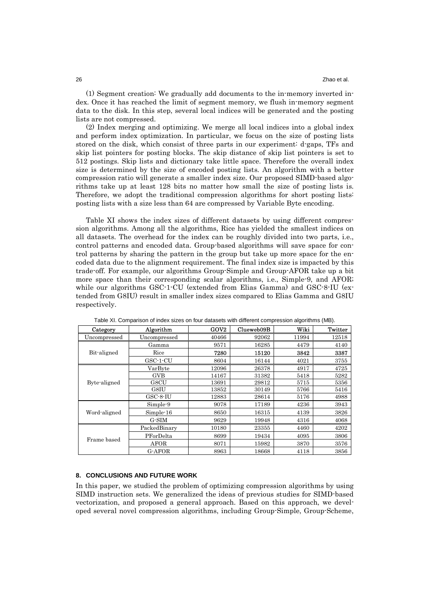(1) Segment creation: We gradually add documents to the in-memory inverted index. Once it has reached the limit of segment memory, we flush in-memory segment data to the disk. In this step, several local indices will be generated and the posting lists are not compressed.

(2) Index merging and optimizing. We merge all local indices into a global index and perform index optimization. In particular, we focus on the size of posting lists stored on the disk, which consist of three parts in our experiment: d-gaps, TFs and skip list pointers for posting blocks. The skip distance of skip list pointers is set to 512 postings. Skip lists and dictionary take little space. Therefore the overall index size is determined by the size of encoded posting lists. An algorithm with a better compression ratio will generate a smaller index size. Our proposed SIMD-based algorithms take up at least 128 bits no matter how small the size of posting lists is. Therefore, we adopt the traditional compression algorithms for short posting lists: posting lists with a size less than 64 are compressed by Variable Byte encoding.

Table XI shows the index sizes of different datasets by using different compression algorithms. Among all the algorithms, Rice has yielded the smallest indices on all datasets. The overhead for the index can be roughly divided into two parts, i.e., control patterns and encoded data. Group-based algorithms will save space for control patterns by sharing the pattern in the group but take up more space for the encoded data due to the alignment requirement. The final index size is impacted by this trade-off. For example, our algorithms Group-Simple and Group-AFOR take up a bit more space than their corresponding scalar algorithms, i.e., Simple-9, and AFOR; while our algorithms GSC-1-CU (extended from Elias Gamma) and GSC-8-IU (extended from G8IU) result in smaller index sizes compared to Elias Gamma and G8IU respectively.

| Category     | Algorithm    | GOV <sub>2</sub> | Clueweb09B | Wiki  | Twitter |
|--------------|--------------|------------------|------------|-------|---------|
| Uncompressed | Uncompressed | 40466            | 92062      | 11994 | 12518   |
| Bit-aligned  | Gamma        | 9571             | 16285      | 4479  | 4140    |
|              | Rice         | 7280             | 15120      | 3842  | 3387    |
|              | $GSC-1-CU$   | 8604             | 16144      | 4021  | 3755    |
| Byte-aligned | VarByte      | 12096            | 26378      | 4917  | 4725    |
|              | GVB          | 14167            | 31382      | 5418  | 5282    |
|              | G8CU         | 13691            | 29812      | 5715  | 5356    |
|              | G8IU         | 13852            | 30149      | 5766  | 5416    |
|              | $GSC-8-IU$   | 12883            | 28614      | 5176  | 4988    |
| Word-aligned | Simple-9     | 9078             | 17189      | 4236  | 3943    |
|              | Simple-16    | 8650             | 16315      | 4139  | 3826    |
|              | $G-SIM$      | 9629             | 19948      | 4316  | 4068    |
| Frame based  | PackedBinary | 10180            | 23355      | 4460  | 4202    |
|              | PForDelta    | 8699             | 19434      | 4095  | 3806    |
|              | AFOR         | 8071             | 15982      | 3870  | 3576    |
|              | G-AFOR       | 8963             | 18668      | 4118  | 3856    |

Table XI. Comparison of index sizes on four datasets with different compression algorithms (MB).

#### **8. CONCLUSIONS AND FUTURE WORK**

In this paper, we studied the problem of optimizing compression algorithms by using SIMD instruction sets. We generalized the ideas of previous studies for SIMD-based vectorization, and proposed a general approach. Based on this approach, we developed several novel compression algorithms, including Group-Simple, Group-Scheme,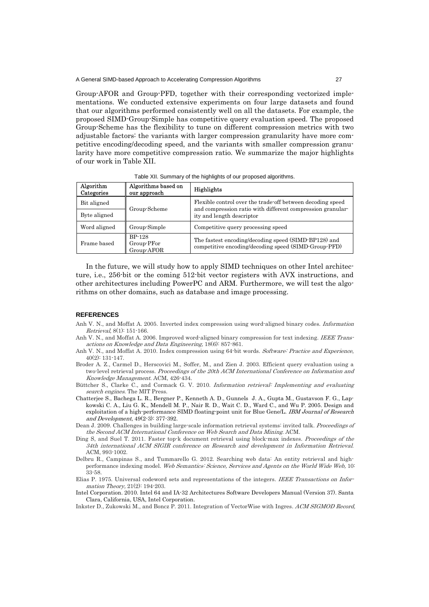Group-AFOR and Group-PFD, together with their corresponding vectorized implementations. We conducted extensive experiments on four large datasets and found that our algorithms performed consistently well on all the datasets. For example, the proposed SIMD-Group-Simple has competitive query evaluation speed. The proposed Group-Scheme has the flexibility to tune on different compression metrics with two adjustable factors: the variants with larger compression granularity have more competitive encoding/decoding speed, and the variants with smaller compression granularity have more competitive compression ratio. We summarize the major highlights of our work in Table XII.

Table XII. Summary of the highlights of our proposed algorithms.

| Algorithm<br>Categories | Algorithms based on<br>our approach       | Highlights                                                                                                                                            |  |  |
|-------------------------|-------------------------------------------|-------------------------------------------------------------------------------------------------------------------------------------------------------|--|--|
| Bit aligned             | Group-Scheme                              | Flexible control over the trade-off between decoding speed<br>and compression ratio with different compression granular-<br>ity and length descriptor |  |  |
| Byte aligned            |                                           |                                                                                                                                                       |  |  |
| Word aligned            | Group-Simple                              | Competitive query processing speed                                                                                                                    |  |  |
| Frame based             | <b>BP-128</b><br>Group-PFor<br>Group-AFOR | The fastest encoding/decoding speed (SIMD-BP128) and<br>competitive encoding/decoding speed (SIMD-Group-PFD)                                          |  |  |

In the future, we will study how to apply SIMD techniques on other Intel architecture, i.e., 256-bit or the coming 512-bit vector registers with AVX instructions, and other architectures including PowerPC and ARM. Furthermore, we will test the algorithms on other domains, such as database and image processing.

#### **REFERENCES**

- Anh V. N., and Moffat A. 2005. Inverted index compression using word-aligned binary codes. Information Retrieval, 8(1): 151-166.
- Anh V. N., and Moffat A. 2006. Improved word-aligned binary compression for text indexing. IEEE Transactions on Knowledge and Data Engineering, 18(6): 857-861.
- Anh V. N., and Moffat A. 2010. Index compression using 64-bit words. Software: Practice and Experience, 40(2): 131-147.
- Broder A. Z., Carmel D., Herscovici M., Soffer, M., and Zien J. 2003. Efficient query evaluation using a two-level retrieval process. Proceedings of the 20th ACM International Conference on Information and Knowledge Management. ACM, 426-434.
- Büttcher S., Clarke C., and Cormack G. V. 2010. Information retrieval: Implementing and evaluating search engines. The MIT Press.
- Chatterjee S., Bachega L. R., Bergner P., Kenneth A. D., Gunnels J. A., Gupta M., Gustavson F. G., Lapkowski C. A., Liu G. K., Mendell M. P., Nair R. D., Wait C. D., Ward C., and Wu P. 2005. Design and exploitation of a high-performance SIMD floating-point unit for Blue Gene/L. IBM Journal of Research and Development, 49(2-3): 377-392.
- Dean J. 2009. Challenges in building large-scale information retrieval systems: invited talk. Proceedings of the Second ACM International Conference on Web Search and Data Mining. ACM.
- Ding S, and Suel T. 2011. Faster top-k document retrieval using block-max indexes. Proceedings of the 34th international ACM SIGIR conference on Research and development in Information Retrieval. ACM, 993-1002.
- Delbru R., Campinas S., and Tummarello G. 2012. Searching web data: An entity retrieval and highperformance indexing model. Web Semantics: Science, Services and Agents on the World Wide Web, 10: 33-58.
- Elias P. 1975. Universal codeword sets and representations of the integers. IEEE Transactions on Information Theory, 21(2): 194-203.
- Intel Corporation. 2010. Intel 64 and IA-32 Architectures Software Developers Manual (Version 37). Santa Clara, California, USA, Intel Corporation.
- Inkster D., Zukowski M., and Boncz P. 2011. Integration of VectorWise with Ingres. ACM SIGMOD Record.